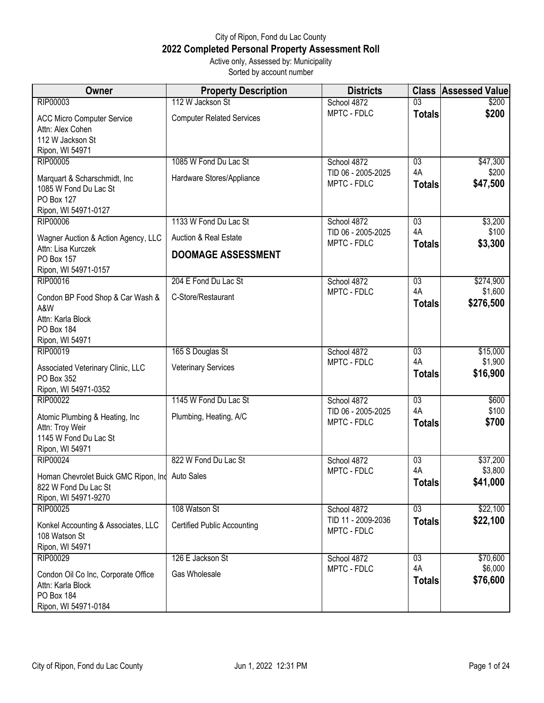## City of Ripon, Fond du Lac County **2022 Completed Personal Property Assessment Roll** Active only, Assessed by: Municipality

Sorted by account number

| Owner                                                                                           | <b>Property Description</b>                                   | <b>Districts</b>                  | <b>Class</b>        | <b>Assessed Value</b> |
|-------------------------------------------------------------------------------------------------|---------------------------------------------------------------|-----------------------------------|---------------------|-----------------------|
| RIP00003                                                                                        | 112 W Jackson St                                              | School 4872                       | 03                  | \$200                 |
| <b>ACC Micro Computer Service</b><br>Attn: Alex Cohen<br>112 W Jackson St<br>Ripon, WI 54971    | <b>Computer Related Services</b>                              | MPTC - FDLC                       | <b>Totals</b>       | \$200                 |
| <b>RIP00005</b>                                                                                 | 1085 W Fond Du Lac St                                         | School 4872                       | $\overline{03}$     | \$47,300              |
| Marquart & Scharschmidt, Inc<br>1085 W Fond Du Lac St<br>PO Box 127<br>Ripon, WI 54971-0127     | Hardware Stores/Appliance                                     | TID 06 - 2005-2025<br>MPTC - FDLC | 4A<br><b>Totals</b> | \$200<br>\$47,500     |
| <b>RIP00006</b>                                                                                 | 1133 W Fond Du Lac St                                         | School 4872                       | $\overline{03}$     | \$3,200               |
| Wagner Auction & Action Agency, LLC<br>Attn: Lisa Kurczek<br>PO Box 157                         | <b>Auction &amp; Real Estate</b><br><b>DOOMAGE ASSESSMENT</b> | TID 06 - 2005-2025<br>MPTC - FDLC | 4A<br><b>Totals</b> | \$100<br>\$3,300      |
| Ripon, WI 54971-0157<br><b>RIP00016</b>                                                         | 204 E Fond Du Lac St                                          | School 4872                       | $\overline{03}$     | \$274,900             |
| Condon BP Food Shop & Car Wash &<br>A&W<br>Attn: Karla Block                                    | C-Store/Restaurant                                            | MPTC - FDLC                       | 4A<br><b>Totals</b> | \$1,600<br>\$276,500  |
| PO Box 184<br>Ripon, WI 54971                                                                   |                                                               |                                   |                     |                       |
| RIP00019                                                                                        | 165 S Douglas St                                              | School 4872                       | $\overline{03}$     | \$15,000              |
| Associated Veterinary Clinic, LLC<br>PO Box 352<br>Ripon, WI 54971-0352                         | <b>Veterinary Services</b>                                    | MPTC - FDLC                       | 4A<br><b>Totals</b> | \$1,900<br>\$16,900   |
| <b>RIP00022</b>                                                                                 | 1145 W Fond Du Lac St                                         | School 4872                       | $\overline{03}$     | \$600                 |
| Atomic Plumbing & Heating, Inc<br>Attn: Troy Weir<br>1145 W Fond Du Lac St<br>Ripon, WI 54971   | Plumbing, Heating, A/C                                        | TID 06 - 2005-2025<br>MPTC - FDLC | 4A<br><b>Totals</b> | \$100<br>\$700        |
| <b>RIP00024</b>                                                                                 | 822 W Fond Du Lac St                                          | School 4872                       | $\overline{03}$     | \$37,200              |
| Homan Chevrolet Buick GMC Ripon, Ind Auto Sales<br>822 W Fond Du Lac St<br>Ripon, WI 54971-9270 |                                                               | MPTC - FDLC                       | 4A<br><b>Totals</b> | \$3,800<br>\$41,000   |
| RIP00025                                                                                        | 108 Watson St                                                 | School 4872                       | $\overline{03}$     | \$22,100              |
| Konkel Accounting & Associates, LLC<br>108 Watson St<br>Ripon, WI 54971                         | <b>Certified Public Accounting</b>                            | TID 11 - 2009-2036<br>MPTC - FDLC | <b>Totals</b>       | \$22,100              |
| <b>RIP00029</b>                                                                                 | 126 E Jackson St                                              | School 4872                       | 03                  | \$70,600              |
| Condon Oil Co Inc, Corporate Office<br>Attn: Karla Block<br>PO Box 184<br>Ripon, WI 54971-0184  | Gas Wholesale                                                 | MPTC - FDLC                       | 4A<br><b>Totals</b> | \$6,000<br>\$76,600   |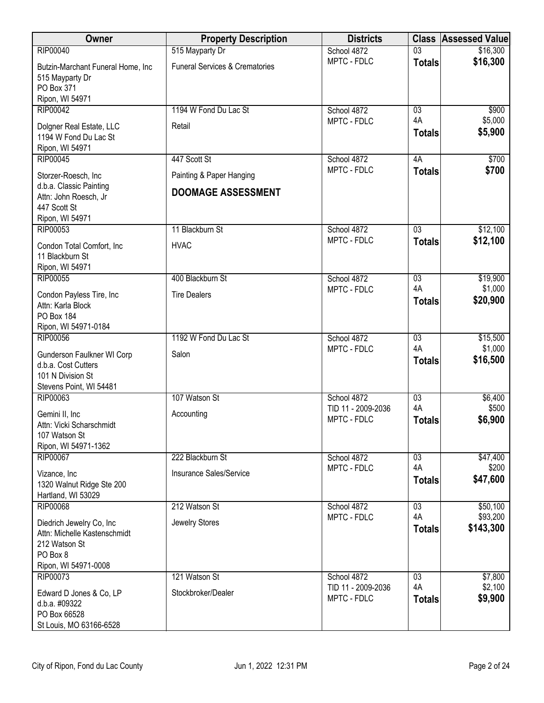| Owner                                                                                                          | <b>Property Description</b>                           | <b>Districts</b>                  |                     | <b>Class Assessed Value</b> |
|----------------------------------------------------------------------------------------------------------------|-------------------------------------------------------|-----------------------------------|---------------------|-----------------------------|
| <b>RIP00040</b>                                                                                                | 515 Mayparty Dr                                       | School 4872                       | $\overline{03}$     | \$16,300                    |
| Butzin-Marchant Funeral Home, Inc<br>515 Mayparty Dr<br>PO Box 371<br>Ripon, WI 54971                          | <b>Funeral Services &amp; Crematories</b>             | MPTC - FDLC                       | <b>Totals</b>       | \$16,300                    |
| <b>RIP00042</b>                                                                                                | 1194 W Fond Du Lac St                                 | School 4872                       | $\overline{03}$     | \$900                       |
| Dolgner Real Estate, LLC<br>1194 W Fond Du Lac St<br>Ripon, WI 54971                                           | Retail                                                | MPTC - FDLC                       | 4A<br><b>Totals</b> | \$5,000<br>\$5,900          |
| <b>RIP00045</b>                                                                                                | 447 Scott St                                          | School 4872                       | 4A                  | \$700                       |
| Storzer-Roesch, Inc<br>d.b.a. Classic Painting<br>Attn: John Roesch, Jr<br>447 Scott St<br>Ripon, WI 54971     | Painting & Paper Hanging<br><b>DOOMAGE ASSESSMENT</b> | MPTC - FDLC                       | <b>Totals</b>       | \$700                       |
| RIP00053                                                                                                       | 11 Blackburn St                                       | School 4872                       | $\overline{03}$     | \$12,100                    |
| Condon Total Comfort, Inc<br>11 Blackburn St<br>Ripon, WI 54971                                                | <b>HVAC</b>                                           | MPTC - FDLC                       | <b>Totals</b>       | \$12,100                    |
| RIP00055                                                                                                       | 400 Blackburn St                                      | School 4872                       | 03                  | \$19,900                    |
| Condon Payless Tire, Inc<br>Attn: Karla Block<br>PO Box 184<br>Ripon, WI 54971-0184                            | <b>Tire Dealers</b>                                   | MPTC - FDLC                       | 4A<br><b>Totals</b> | \$1,000<br>\$20,900         |
| <b>RIP00056</b>                                                                                                | 1192 W Fond Du Lac St                                 | School 4872                       | $\overline{03}$     | \$15,500                    |
| Gunderson Faulkner WI Corp<br>d.b.a. Cost Cutters<br>101 N Division St<br>Stevens Point, WI 54481              | Salon                                                 | MPTC - FDLC                       | 4A<br><b>Totals</b> | \$1,000<br>\$16,500         |
| RIP00063                                                                                                       | 107 Watson St                                         | School 4872                       | 03                  | \$6,400                     |
| Gemini II, Inc<br>Attn: Vicki Scharschmidt<br>107 Watson St<br>Ripon, WI 54971-1362                            | Accounting                                            | TID 11 - 2009-2036<br>MPTC - FDLC | 4A<br><b>Totals</b> | \$500<br>\$6,900            |
| <b>RIP00067</b>                                                                                                | 222 Blackburn St                                      | School 4872                       | 03                  | \$47,400                    |
| Vizance, Inc<br>1320 Walnut Ridge Ste 200<br>Hartland, WI 53029                                                | Insurance Sales/Service                               | MPTC - FDLC                       | 4A<br><b>Totals</b> | \$200<br>\$47,600           |
| <b>RIP00068</b>                                                                                                | 212 Watson St                                         | School 4872                       | 03                  | \$50,100                    |
| Diedrich Jewelry Co, Inc.<br>Attn: Michelle Kastenschmidt<br>212 Watson St<br>PO Box 8<br>Ripon, WI 54971-0008 | Jewelry Stores                                        | MPTC - FDLC                       | 4A<br><b>Totals</b> | \$93,200<br>\$143,300       |
| <b>RIP00073</b>                                                                                                | 121 Watson St                                         | School 4872                       | 03                  | \$7,800                     |
| Edward D Jones & Co, LP<br>d.b.a. #09322<br>PO Box 66528<br>St Louis, MO 63166-6528                            | Stockbroker/Dealer                                    | TID 11 - 2009-2036<br>MPTC - FDLC | 4A<br><b>Totals</b> | \$2,100<br>\$9,900          |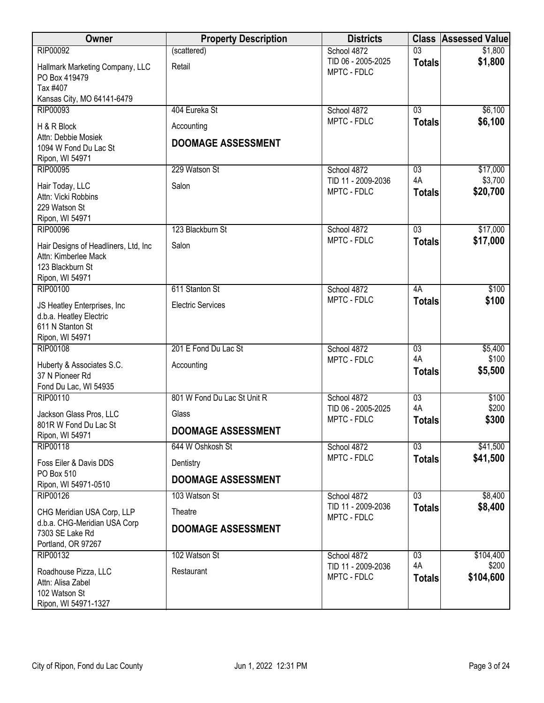| Owner                                                        | <b>Property Description</b> | <b>Districts</b>                  | <b>Class</b>    | <b>Assessed Value</b> |
|--------------------------------------------------------------|-----------------------------|-----------------------------------|-----------------|-----------------------|
| <b>RIP00092</b>                                              | (scattered)                 | School 4872                       | $\overline{03}$ | \$1,800               |
| Hallmark Marketing Company, LLC<br>PO Box 419479<br>Tax #407 | Retail                      | TID 06 - 2005-2025<br>MPTC - FDLC | <b>Totals</b>   | \$1,800               |
| Kansas City, MO 64141-6479                                   |                             |                                   |                 |                       |
| RIP00093                                                     | 404 Eureka St               | School 4872                       | 03              | \$6,100               |
| H & R Block                                                  | Accounting                  | MPTC - FDLC                       | <b>Totals</b>   | \$6,100               |
| Attn: Debbie Mosiek<br>1094 W Fond Du Lac St                 | <b>DOOMAGE ASSESSMENT</b>   |                                   |                 |                       |
| Ripon, WI 54971<br><b>RIP00095</b>                           | 229 Watson St               | School 4872                       | $\overline{03}$ | \$17,000              |
|                                                              |                             | TID 11 - 2009-2036                | 4A              | \$3,700               |
| Hair Today, LLC                                              | Salon                       | MPTC - FDLC                       | <b>Totals</b>   | \$20,700              |
| Attn: Vicki Robbins<br>229 Watson St                         |                             |                                   |                 |                       |
| Ripon, WI 54971                                              |                             |                                   |                 |                       |
| <b>RIP00096</b>                                              | 123 Blackburn St            | School 4872                       | $\overline{03}$ | \$17,000              |
| Hair Designs of Headliners, Ltd, Inc                         | Salon                       | MPTC - FDLC                       | <b>Totals</b>   | \$17,000              |
| Attn: Kimberlee Mack                                         |                             |                                   |                 |                       |
| 123 Blackburn St                                             |                             |                                   |                 |                       |
| Ripon, WI 54971                                              |                             |                                   |                 |                       |
| <b>RIP00100</b>                                              | 611 Stanton St              | School 4872                       | 4A              | \$100                 |
| JS Heatley Enterprises, Inc                                  | <b>Electric Services</b>    | MPTC - FDLC                       | <b>Totals</b>   | \$100                 |
| d.b.a. Heatley Electric                                      |                             |                                   |                 |                       |
| 611 N Stanton St                                             |                             |                                   |                 |                       |
| Ripon, WI 54971<br><b>RIP00108</b>                           | 201 E Fond Du Lac St        | School 4872                       | $\overline{03}$ | \$5,400               |
|                                                              |                             | MPTC - FDLC                       | 4A              | \$100                 |
| Huberty & Associates S.C.<br>37 N Pioneer Rd                 | Accounting                  |                                   | <b>Totals</b>   | \$5,500               |
| Fond Du Lac, WI 54935                                        |                             |                                   |                 |                       |
| RIP00110                                                     | 801 W Fond Du Lac St Unit R | School 4872                       | 03              | \$100                 |
| Jackson Glass Pros, LLC                                      | Glass                       | TID 06 - 2005-2025                | 4A              | \$200                 |
| 801R W Fond Du Lac St                                        |                             | MPTC - FDLC                       | <b>Totals</b>   | \$300                 |
| Ripon, WI 54971                                              | <b>DOOMAGE ASSESSMENT</b>   |                                   |                 |                       |
| RIP00118                                                     | 644 W Oshkosh St            | School 4872                       | 03              | \$41,500              |
| Foss Eiler & Davis DDS                                       | Dentistry                   | MPTC - FDLC                       | <b>Totals</b>   | \$41,500              |
| PO Box 510<br>Ripon, WI 54971-0510                           | <b>DOOMAGE ASSESSMENT</b>   |                                   |                 |                       |
| <b>RIP00126</b>                                              | 103 Watson St               | School 4872                       | $\overline{03}$ | \$8,400               |
| CHG Meridian USA Corp, LLP                                   | Theatre                     | TID 11 - 2009-2036                | <b>Totals</b>   | \$8,400               |
| d.b.a. CHG-Meridian USA Corp                                 |                             | MPTC - FDLC                       |                 |                       |
| 7303 SE Lake Rd                                              | <b>DOOMAGE ASSESSMENT</b>   |                                   |                 |                       |
| Portland, OR 97267                                           |                             |                                   |                 |                       |
| RIP00132                                                     | 102 Watson St               | School 4872                       | 03              | \$104,400             |
| Roadhouse Pizza, LLC                                         | Restaurant                  | TID 11 - 2009-2036                | 4A              | \$200                 |
| Attn: Alisa Zabel                                            |                             | MPTC - FDLC                       | <b>Totals</b>   | \$104,600             |
| 102 Watson St                                                |                             |                                   |                 |                       |
| Ripon, WI 54971-1327                                         |                             |                                   |                 |                       |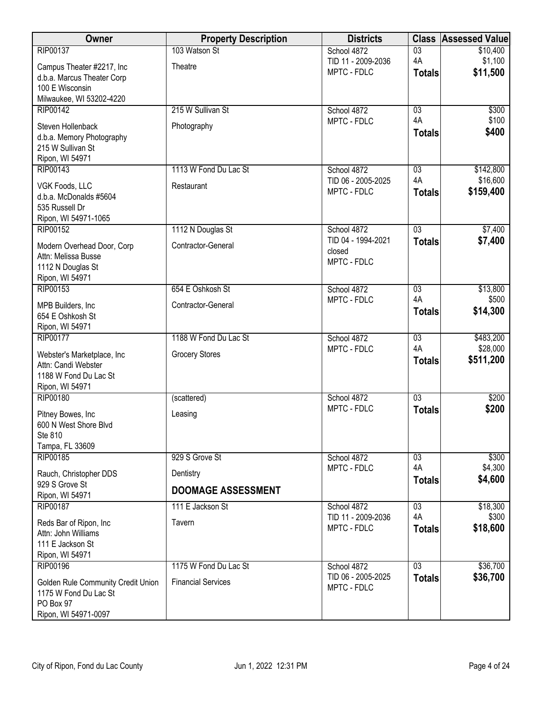| Owner                                                       | <b>Property Description</b> | <b>Districts</b>                  | <b>Class</b>          | <b>Assessed Value</b> |
|-------------------------------------------------------------|-----------------------------|-----------------------------------|-----------------------|-----------------------|
| RIP00137                                                    | 103 Watson St               | School 4872                       | $\overline{03}$       | \$10,400              |
| Campus Theater #2217, Inc                                   | Theatre                     | TID 11 - 2009-2036<br>MPTC - FDLC | 4A                    | \$1,100               |
| d.b.a. Marcus Theater Corp                                  |                             |                                   | <b>Totals</b>         | \$11,500              |
| 100 E Wisconsin                                             |                             |                                   |                       |                       |
| Milwaukee, WI 53202-4220                                    | 215 W Sullivan St           |                                   |                       |                       |
| <b>RIP00142</b>                                             |                             | School 4872<br>MPTC - FDLC        | $\overline{03}$<br>4A | \$300<br>\$100        |
| Steven Hollenback                                           | Photography                 |                                   | <b>Totals</b>         | \$400                 |
| d.b.a. Memory Photography<br>215 W Sullivan St              |                             |                                   |                       |                       |
| Ripon, WI 54971                                             |                             |                                   |                       |                       |
| RIP00143                                                    | 1113 W Fond Du Lac St       | School 4872                       | 03                    | \$142,800             |
| VGK Foods, LLC                                              | Restaurant                  | TID 06 - 2005-2025                | 4A                    | \$16,600              |
| d.b.a. McDonalds #5604                                      |                             | MPTC - FDLC                       | <b>Totals</b>         | \$159,400             |
| 535 Russell Dr                                              |                             |                                   |                       |                       |
| Ripon, WI 54971-1065                                        |                             |                                   |                       |                       |
| <b>RIP00152</b>                                             | 1112 N Douglas St           | School 4872                       | $\overline{03}$       | \$7,400               |
| Modern Overhead Door, Corp                                  | Contractor-General          | TID 04 - 1994-2021<br>closed      | <b>Totals</b>         | \$7,400               |
| Attn: Melissa Busse                                         |                             | MPTC - FDLC                       |                       |                       |
| 1112 N Douglas St<br>Ripon, WI 54971                        |                             |                                   |                       |                       |
| RIP00153                                                    | 654 E Oshkosh St            | School 4872                       | $\overline{03}$       | \$13,800              |
| MPB Builders, Inc                                           | Contractor-General          | MPTC - FDLC                       | 4A                    | \$500                 |
| 654 E Oshkosh St                                            |                             |                                   | <b>Totals</b>         | \$14,300              |
| Ripon, WI 54971                                             |                             |                                   |                       |                       |
| <b>RIP00177</b>                                             | 1188 W Fond Du Lac St       | School 4872                       | $\overline{03}$       | \$483,200             |
| Webster's Marketplace, Inc                                  | <b>Grocery Stores</b>       | MPTC - FDLC                       | 4A                    | \$28,000              |
| Attn: Candi Webster                                         |                             |                                   | <b>Totals</b>         | \$511,200             |
| 1188 W Fond Du Lac St                                       |                             |                                   |                       |                       |
| Ripon, WI 54971<br><b>RIP00180</b>                          | (scattered)                 | School 4872                       | 03                    | \$200                 |
|                                                             |                             | MPTC - FDLC                       | <b>Totals</b>         | \$200                 |
| Pitney Bowes, Inc.                                          | Leasing                     |                                   |                       |                       |
| 600 N West Shore Blvd<br>Ste 810                            |                             |                                   |                       |                       |
| Tampa, FL 33609                                             |                             |                                   |                       |                       |
| <b>RIP00185</b>                                             | 929 S Grove St              | School 4872                       | 03                    | \$300                 |
| Rauch, Christopher DDS                                      | Dentistry                   | MPTC - FDLC                       | 4A                    | \$4,300               |
| 929 S Grove St                                              |                             |                                   | <b>Totals</b>         | \$4,600               |
| Ripon, WI 54971                                             | <b>DOOMAGE ASSESSMENT</b>   |                                   |                       |                       |
| RIP00187                                                    | 111 E Jackson St            | School 4872                       | 03                    | \$18,300              |
| Reds Bar of Ripon, Inc                                      | Tavern                      | TID 11 - 2009-2036<br>MPTC - FDLC | 4A<br><b>Totals</b>   | \$300<br>\$18,600     |
| Attn: John Williams                                         |                             |                                   |                       |                       |
| 111 E Jackson St<br>Ripon, WI 54971                         |                             |                                   |                       |                       |
| <b>RIP00196</b>                                             | 1175 W Fond Du Lac St       | School 4872                       | $\overline{03}$       | \$36,700              |
|                                                             |                             | TID 06 - 2005-2025                | <b>Totals</b>         | \$36,700              |
| Golden Rule Community Credit Union<br>1175 W Fond Du Lac St | <b>Financial Services</b>   | MPTC - FDLC                       |                       |                       |
| PO Box 97                                                   |                             |                                   |                       |                       |
| Ripon, WI 54971-0097                                        |                             |                                   |                       |                       |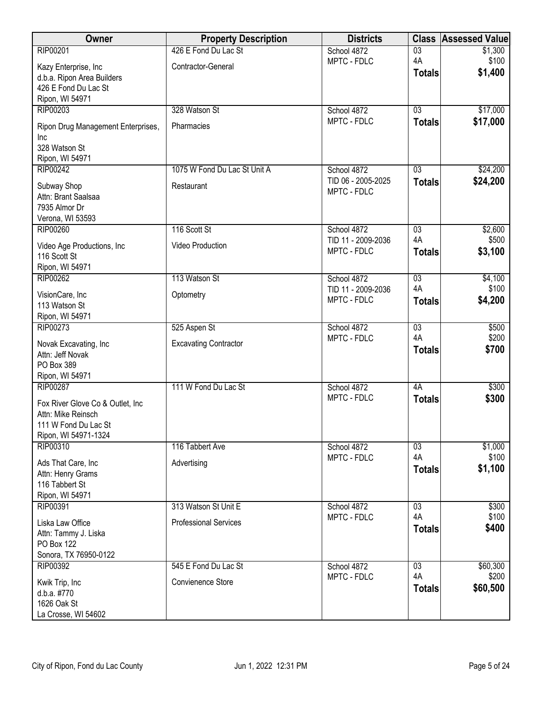| Owner                                                         | <b>Property Description</b>  | <b>Districts</b>                  | <b>Class</b>        | <b>Assessed Value</b> |
|---------------------------------------------------------------|------------------------------|-----------------------------------|---------------------|-----------------------|
| RIP00201                                                      | 426 E Fond Du Lac St         | School 4872                       | $\overline{03}$     | \$1,300               |
| Kazy Enterprise, Inc                                          | Contractor-General           | MPTC - FDLC                       | 4A                  | \$100                 |
| d.b.a. Ripon Area Builders                                    |                              |                                   | <b>Totals</b>       | \$1,400               |
| 426 E Fond Du Lac St                                          |                              |                                   |                     |                       |
| Ripon, WI 54971                                               |                              |                                   |                     |                       |
| RIP00203                                                      | 328 Watson St                | School 4872                       | 03                  | \$17,000              |
| Ripon Drug Management Enterprises,<br>Inc                     | Pharmacies                   | MPTC - FDLC                       | <b>Totals</b>       | \$17,000              |
| 328 Watson St<br>Ripon, WI 54971                              |                              |                                   |                     |                       |
| <b>RIP00242</b>                                               | 1075 W Fond Du Lac St Unit A | School 4872                       | 03                  | \$24,200              |
| Subway Shop<br>Attn: Brant Saalsaa<br>7935 Almor Dr           | Restaurant                   | TID 06 - 2005-2025<br>MPTC - FDLC | <b>Totals</b>       | \$24,200              |
| Verona, WI 53593<br><b>RIP00260</b>                           |                              |                                   |                     |                       |
|                                                               | 116 Scott St                 | School 4872<br>TID 11 - 2009-2036 | 03<br>4A            | \$2,600<br>\$500      |
| Video Age Productions, Inc<br>116 Scott St<br>Ripon, WI 54971 | Video Production             | MPTC - FDLC                       | <b>Totals</b>       | \$3,100               |
| <b>RIP00262</b>                                               | 113 Watson St                | School 4872                       | $\overline{03}$     | \$4,100               |
| VisionCare, Inc                                               | Optometry                    | TID 11 - 2009-2036                | 4A                  | \$100                 |
| 113 Watson St<br>Ripon, WI 54971                              |                              | MPTC - FDLC                       | <b>Totals</b>       | \$4,200               |
| RIP00273                                                      | 525 Aspen St                 | School 4872                       | $\overline{03}$     | \$500                 |
| Novak Excavating, Inc<br>Attn: Jeff Novak<br>PO Box 389       | <b>Excavating Contractor</b> | MPTC - FDLC                       | 4A<br><b>Totals</b> | \$200<br>\$700        |
| Ripon, WI 54971                                               |                              |                                   |                     |                       |
| <b>RIP00287</b>                                               | 111 W Fond Du Lac St         | School 4872                       | 4A                  | \$300                 |
| Fox River Glove Co & Outlet, Inc                              |                              | MPTC - FDLC                       | <b>Totals</b>       | \$300                 |
| Attn: Mike Reinsch                                            |                              |                                   |                     |                       |
| 111 W Fond Du Lac St                                          |                              |                                   |                     |                       |
| Ripon, WI 54971-1324                                          |                              |                                   |                     |                       |
| RIP00310                                                      | 116 Tabbert Ave              | School 4872                       | $\overline{03}$     | \$1,000               |
| Ads That Care, Inc                                            | Advertising                  | MPTC - FDLC                       | 4A                  | \$100                 |
| Attn: Henry Grams                                             |                              |                                   | <b>Totals</b>       | \$1,100               |
| 116 Tabbert St                                                |                              |                                   |                     |                       |
| Ripon, WI 54971                                               |                              |                                   |                     |                       |
| RIP00391                                                      | 313 Watson St Unit E         | School 4872                       | 03                  | \$300                 |
| Liska Law Office                                              | <b>Professional Services</b> | MPTC - FDLC                       | 4A                  | \$100<br>\$400        |
| Attn: Tammy J. Liska                                          |                              |                                   | <b>Totals</b>       |                       |
| PO Box 122                                                    |                              |                                   |                     |                       |
| Sonora, TX 76950-0122                                         | 545 E Fond Du Lac St         |                                   | 03                  |                       |
| RIP00392                                                      |                              | School 4872<br>MPTC - FDLC        | 4A                  | \$60,300<br>\$200     |
| Kwik Trip, Inc                                                | Convienence Store            |                                   | <b>Totals</b>       | \$60,500              |
| d.b.a. #770<br>1626 Oak St                                    |                              |                                   |                     |                       |
| La Crosse, WI 54602                                           |                              |                                   |                     |                       |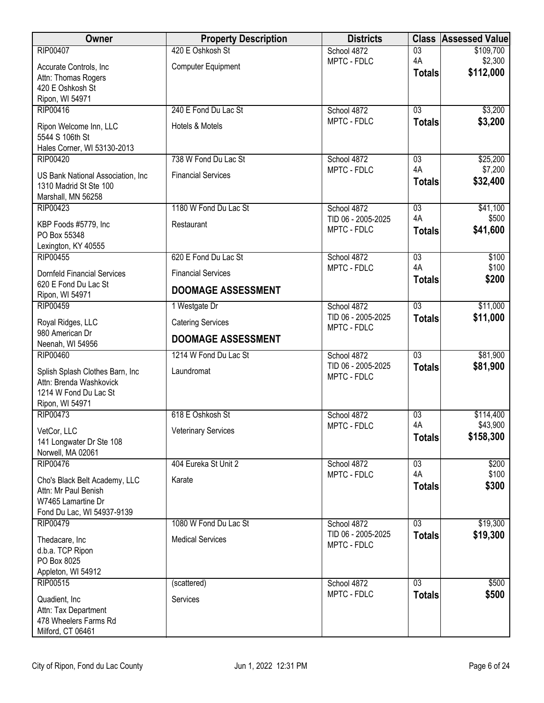| Owner                                                        | <b>Property Description</b> | <b>Districts</b>                  |                     | <b>Class Assessed Value</b> |
|--------------------------------------------------------------|-----------------------------|-----------------------------------|---------------------|-----------------------------|
| <b>RIP00407</b>                                              | 420 E Oshkosh St            | School 4872                       | $\overline{03}$     | \$109,700                   |
| Accurate Controls, Inc.                                      | <b>Computer Equipment</b>   | MPTC - FDLC                       | 4A<br><b>Totals</b> | \$2,300<br>\$112,000        |
| Attn: Thomas Rogers<br>420 E Oshkosh St                      |                             |                                   |                     |                             |
| Ripon, WI 54971                                              |                             |                                   |                     |                             |
| RIP00416                                                     | 240 E Fond Du Lac St        | School 4872                       | $\overline{03}$     | \$3,200                     |
| Ripon Welcome Inn, LLC                                       | Hotels & Motels             | MPTC - FDLC                       | <b>Totals</b>       | \$3,200                     |
| 5544 S 106th St                                              |                             |                                   |                     |                             |
| Hales Corner, WI 53130-2013<br><b>RIP00420</b>               | 738 W Fond Du Lac St        | School 4872                       | $\overline{03}$     | \$25,200                    |
|                                                              |                             | MPTC - FDLC                       | 4A                  | \$7,200                     |
| US Bank National Association, Inc.<br>1310 Madrid St Ste 100 | <b>Financial Services</b>   |                                   | <b>Totals</b>       | \$32,400                    |
| Marshall, MN 56258                                           |                             |                                   |                     |                             |
| RIP00423                                                     | 1180 W Fond Du Lac St       | School 4872                       | $\overline{03}$     | \$41,100                    |
| KBP Foods #5779, Inc                                         | Restaurant                  | TID 06 - 2005-2025<br>MPTC - FDLC | 4A<br><b>Totals</b> | \$500<br>\$41,600           |
| PO Box 55348                                                 |                             |                                   |                     |                             |
| Lexington, KY 40555<br><b>RIP00455</b>                       | 620 E Fond Du Lac St        | School 4872                       | 03                  | \$100                       |
| <b>Dornfeld Financial Services</b>                           | <b>Financial Services</b>   | MPTC - FDLC                       | 4A                  | \$100                       |
| 620 E Fond Du Lac St                                         |                             |                                   | <b>Totals</b>       | \$200                       |
| Ripon, WI 54971                                              | <b>DOOMAGE ASSESSMENT</b>   |                                   |                     |                             |
| <b>RIP00459</b>                                              | 1 Westgate Dr               | School 4872<br>TID 06 - 2005-2025 | $\overline{03}$     | \$11,000<br>\$11,000        |
| Royal Ridges, LLC<br>980 American Dr                         | <b>Catering Services</b>    | MPTC - FDLC                       | <b>Totals</b>       |                             |
| Neenah, WI 54956                                             | <b>DOOMAGE ASSESSMENT</b>   |                                   |                     |                             |
| <b>RIP00460</b>                                              | 1214 W Fond Du Lac St       | School 4872                       | $\overline{03}$     | \$81,900                    |
| Splish Splash Clothes Barn, Inc                              | Laundromat                  | TID 06 - 2005-2025<br>MPTC - FDLC | <b>Totals</b>       | \$81,900                    |
| Attn: Brenda Washkovick                                      |                             |                                   |                     |                             |
| 1214 W Fond Du Lac St<br>Ripon, WI 54971                     |                             |                                   |                     |                             |
| RIP00473                                                     | 618 E Oshkosh St            | School 4872                       | $\overline{03}$     | \$114,400                   |
| VetCor, LLC                                                  | <b>Veterinary Services</b>  | MPTC - FDLC                       | 4A                  | \$43,900                    |
| 141 Longwater Dr Ste 108                                     |                             |                                   | <b>Totals</b>       | \$158,300                   |
| Norwell, MA 02061                                            |                             |                                   |                     |                             |
| <b>RIP00476</b>                                              | 404 Eureka St Unit 2        | School 4872<br>MPTC - FDLC        | 03<br>4A            | \$200<br>\$100              |
| Cho's Black Belt Academy, LLC<br>Attn: Mr Paul Benish        | Karate                      |                                   | <b>Totals</b>       | \$300                       |
| W7465 Lamartine Dr                                           |                             |                                   |                     |                             |
| Fond Du Lac, WI 54937-9139                                   |                             |                                   |                     |                             |
| RIP00479                                                     | 1080 W Fond Du Lac St       | School 4872<br>TID 06 - 2005-2025 | $\overline{03}$     | \$19,300                    |
| Thedacare, Inc                                               | <b>Medical Services</b>     | MPTC - FDLC                       | <b>Totals</b>       | \$19,300                    |
| d.b.a. TCP Ripon<br>PO Box 8025                              |                             |                                   |                     |                             |
| Appleton, WI 54912                                           |                             |                                   |                     |                             |
| RIP00515                                                     | (scattered)                 | School 4872                       | $\overline{03}$     | \$500                       |
| Quadient, Inc                                                | Services                    | MPTC - FDLC                       | <b>Totals</b>       | \$500                       |
| Attn: Tax Department                                         |                             |                                   |                     |                             |
| 478 Wheelers Farms Rd<br>Milford, CT 06461                   |                             |                                   |                     |                             |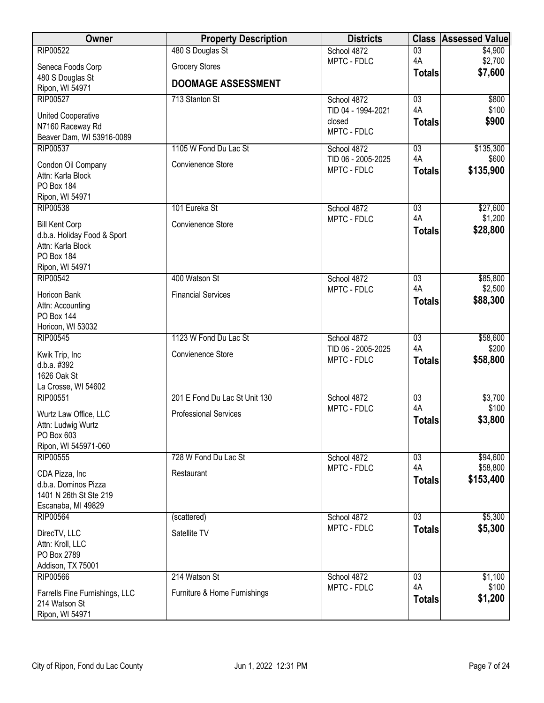| Owner                                            | <b>Property Description</b>   | <b>Districts</b>                  | <b>Class</b>          | <b>Assessed Value</b> |
|--------------------------------------------------|-------------------------------|-----------------------------------|-----------------------|-----------------------|
| <b>RIP00522</b>                                  | 480 S Douglas St              | School 4872                       | $\overline{03}$       | \$4,900               |
| Seneca Foods Corp                                | <b>Grocery Stores</b>         | MPTC - FDLC                       | 4A                    | \$2,700<br>\$7,600    |
| 480 S Douglas St                                 | <b>DOOMAGE ASSESSMENT</b>     |                                   | <b>Totals</b>         |                       |
| Ripon, WI 54971                                  |                               |                                   |                       |                       |
| <b>RIP00527</b>                                  | 713 Stanton St                | School 4872<br>TID 04 - 1994-2021 | 03<br>4A              | \$800<br>\$100        |
| <b>United Cooperative</b>                        |                               | closed                            | <b>Totals</b>         | \$900                 |
| N7160 Raceway Rd                                 |                               | MPTC - FDLC                       |                       |                       |
| Beaver Dam, WI 53916-0089                        |                               |                                   |                       |                       |
| <b>RIP00537</b>                                  | 1105 W Fond Du Lac St         | School 4872<br>TID 06 - 2005-2025 | $\overline{03}$<br>4A | \$135,300<br>\$600    |
| Condon Oil Company                               | Convienence Store             | MPTC - FDLC                       | <b>Totals</b>         | \$135,900             |
| Attn: Karla Block                                |                               |                                   |                       |                       |
| PO Box 184<br>Ripon, WI 54971                    |                               |                                   |                       |                       |
| RIP00538                                         | 101 Eureka St                 | School 4872                       | $\overline{03}$       | \$27,600              |
|                                                  |                               | MPTC - FDLC                       | 4A                    | \$1,200               |
| <b>Bill Kent Corp</b>                            | Convienence Store             |                                   | <b>Totals</b>         | \$28,800              |
| d.b.a. Holiday Food & Sport<br>Attn: Karla Block |                               |                                   |                       |                       |
| PO Box 184                                       |                               |                                   |                       |                       |
| Ripon, WI 54971                                  |                               |                                   |                       |                       |
| <b>RIP00542</b>                                  | 400 Watson St                 | School 4872                       | $\overline{03}$       | \$85,800              |
| Horicon Bank                                     | <b>Financial Services</b>     | MPTC - FDLC                       | 4A                    | \$2,500               |
| Attn: Accounting                                 |                               |                                   | <b>Totals</b>         | \$88,300              |
| PO Box 144                                       |                               |                                   |                       |                       |
| Horicon, WI 53032                                |                               |                                   |                       |                       |
| <b>RIP00545</b>                                  | 1123 W Fond Du Lac St         | School 4872                       | $\overline{03}$       | \$58,600              |
| Kwik Trip, Inc                                   | Convienence Store             | TID 06 - 2005-2025<br>MPTC - FDLC | 4A                    | \$200<br>\$58,800     |
| d.b.a. #392                                      |                               |                                   | <b>Totals</b>         |                       |
| 1626 Oak St                                      |                               |                                   |                       |                       |
| La Crosse, WI 54602<br>RIP00551                  | 201 E Fond Du Lac St Unit 130 | School 4872                       | 03                    | \$3,700               |
|                                                  |                               | MPTC - FDLC                       | 4A                    | \$100                 |
| Wurtz Law Office, LLC                            | <b>Professional Services</b>  |                                   | <b>Totals</b>         | \$3,800               |
| Attn: Ludwig Wurtz<br>PO Box 603                 |                               |                                   |                       |                       |
| Ripon, WI 545971-060                             |                               |                                   |                       |                       |
| <b>RIP00555</b>                                  | 728 W Fond Du Lac St          | School 4872                       | $\overline{03}$       | \$94,600              |
|                                                  |                               | MPTC - FDLC                       | 4A                    | \$58,800              |
| CDA Pizza, Inc<br>d.b.a. Dominos Pizza           | Restaurant                    |                                   | <b>Totals</b>         | \$153,400             |
| 1401 N 26th St Ste 219                           |                               |                                   |                       |                       |
| Escanaba, MI 49829                               |                               |                                   |                       |                       |
| RIP00564                                         | (scattered)                   | School 4872                       | $\overline{03}$       | \$5,300               |
| DirecTV, LLC                                     | Satellite TV                  | MPTC - FDLC                       | <b>Totals</b>         | \$5,300               |
| Attn: Kroll, LLC                                 |                               |                                   |                       |                       |
| PO Box 2789                                      |                               |                                   |                       |                       |
| Addison, TX 75001                                |                               |                                   |                       |                       |
| <b>RIP00566</b>                                  | 214 Watson St                 | School 4872                       | $\overline{03}$       | \$1,100               |
| Farrells Fine Furnishings, LLC                   | Furniture & Home Furnishings  | MPTC - FDLC                       | 4A                    | \$100                 |
| 214 Watson St                                    |                               |                                   | <b>Totals</b>         | \$1,200               |
| Ripon, WI 54971                                  |                               |                                   |                       |                       |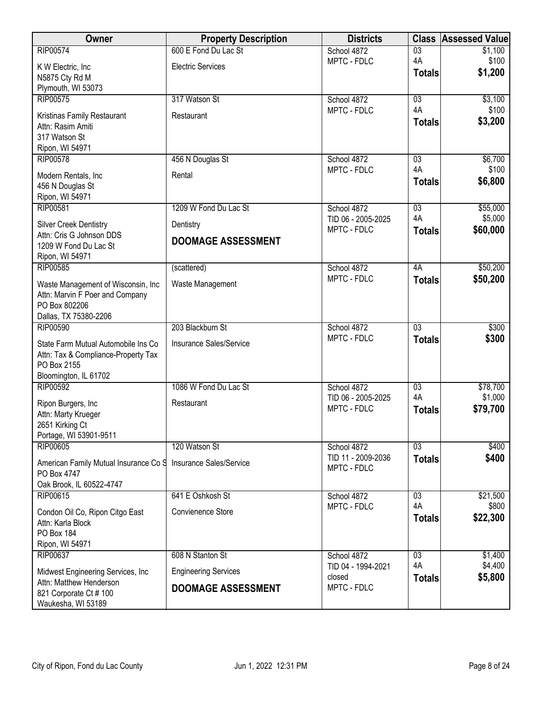| Owner                                                         | <b>Property Description</b> | <b>Districts</b>   | <b>Class</b>    | <b>Assessed Value</b> |
|---------------------------------------------------------------|-----------------------------|--------------------|-----------------|-----------------------|
| <b>RIP00574</b>                                               | 600 E Fond Du Lac St        | School 4872        | $\overline{03}$ | \$1,100               |
| K W Electric, Inc.                                            | <b>Electric Services</b>    | MPTC - FDLC        | 4A              | \$100                 |
| N5875 Cty Rd M                                                |                             |                    | <b>Totals</b>   | \$1,200               |
| Plymouth, WI 53073                                            |                             |                    |                 |                       |
| RIP00575                                                      | 317 Watson St               | School 4872        | 03              | \$3,100               |
| Kristinas Family Restaurant                                   | Restaurant                  | MPTC - FDLC        | 4A              | \$100                 |
| Attn: Rasim Amiti                                             |                             |                    | <b>Totals</b>   | \$3,200               |
| 317 Watson St                                                 |                             |                    |                 |                       |
| Ripon, WI 54971                                               |                             |                    |                 |                       |
| <b>RIP00578</b>                                               | 456 N Douglas St            | School 4872        | 03              | \$6,700               |
| Modern Rentals, Inc                                           | Rental                      | MPTC - FDLC        | 4A              | \$100                 |
| 456 N Douglas St                                              |                             |                    | <b>Totals</b>   | \$6,800               |
| Ripon, WI 54971                                               |                             |                    |                 |                       |
| RIP00581                                                      | 1209 W Fond Du Lac St       | School 4872        | $\overline{03}$ | \$55,000              |
| <b>Silver Creek Dentistry</b>                                 | Dentistry                   | TID 06 - 2005-2025 | 4A              | \$5,000               |
| Attn: Cris G Johnson DDS                                      |                             | MPTC - FDLC        | <b>Totals</b>   | \$60,000              |
| 1209 W Fond Du Lac St                                         | <b>DOOMAGE ASSESSMENT</b>   |                    |                 |                       |
| Ripon, WI 54971                                               |                             |                    |                 |                       |
| <b>RIP00585</b>                                               | (scattered)                 | School 4872        | 4A              | \$50,200              |
| Waste Management of Wisconsin, Inc                            | Waste Management            | MPTC - FDLC        | <b>Totals</b>   | \$50,200              |
| Attn: Marvin F Poer and Company                               |                             |                    |                 |                       |
| PO Box 802206                                                 |                             |                    |                 |                       |
| Dallas, TX 75380-2206                                         |                             |                    |                 |                       |
| <b>RIP00590</b>                                               | 203 Blackburn St            | School 4872        | $\overline{03}$ | \$300                 |
| State Farm Mutual Automobile Ins Co                           | Insurance Sales/Service     | MPTC - FDLC        | <b>Totals</b>   | \$300                 |
| Attn: Tax & Compliance-Property Tax                           |                             |                    |                 |                       |
| PO Box 2155                                                   |                             |                    |                 |                       |
| Bloomington, IL 61702                                         |                             |                    |                 |                       |
| <b>RIP00592</b>                                               | 1086 W Fond Du Lac St       | School 4872        | 03              | \$78,700              |
|                                                               | Restaurant                  | TID 06 - 2005-2025 | 4A              | \$1,000               |
| Ripon Burgers, Inc<br>Attn: Marty Krueger                     |                             | MPTC - FDLC        | <b>Totals</b>   | \$79,700              |
| 2651 Kirking Ct                                               |                             |                    |                 |                       |
| Portage, WI 53901-9511                                        |                             |                    |                 |                       |
| <b>RIP00605</b>                                               | 120 Watson St               | School 4872        | 03              | \$400                 |
| American Family Mutual Insurance Co S                         | Insurance Sales/Service     | TID 11 - 2009-2036 | <b>Totals</b>   | \$400                 |
| PO Box 4747                                                   |                             | MPTC - FDLC        |                 |                       |
| Oak Brook, IL 60522-4747                                      |                             |                    |                 |                       |
| RIP00615                                                      | 641 E Oshkosh St            | School 4872        | 03              | \$21,500              |
|                                                               |                             | MPTC - FDLC        | 4A              | \$800                 |
| Condon Oil Co, Ripon Citgo East<br>Attn: Karla Block          | Convienence Store           |                    | <b>Totals</b>   | \$22,300              |
| PO Box 184                                                    |                             |                    |                 |                       |
| Ripon, WI 54971                                               |                             |                    |                 |                       |
| RIP00637                                                      | 608 N Stanton St            | School 4872        | 03              | \$1,400               |
|                                                               |                             | TID 04 - 1994-2021 | 4A              | \$4,400               |
| Midwest Engineering Services, Inc.<br>Attn: Matthew Henderson | <b>Engineering Services</b> | closed             | <b>Totals</b>   | \$5,800               |
| 821 Corporate Ct # 100                                        | <b>DOOMAGE ASSESSMENT</b>   | MPTC - FDLC        |                 |                       |
| Waukesha, WI 53189                                            |                             |                    |                 |                       |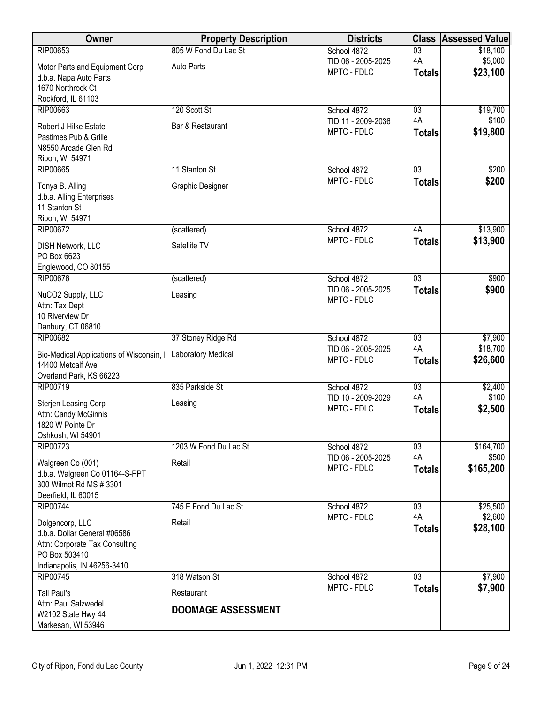| <b>Owner</b>                                              | <b>Property Description</b> | <b>Districts</b>                  | <b>Class</b>        | <b>Assessed Value</b> |
|-----------------------------------------------------------|-----------------------------|-----------------------------------|---------------------|-----------------------|
| <b>RIP00653</b>                                           | 805 W Fond Du Lac St        | School 4872                       | $\overline{03}$     | \$18,100              |
| Motor Parts and Equipment Corp                            | Auto Parts                  | TID 06 - 2005-2025<br>MPTC - FDLC | 4A                  | \$5,000<br>\$23,100   |
| d.b.a. Napa Auto Parts                                    |                             |                                   | <b>Totals</b>       |                       |
| 1670 Northrock Ct<br>Rockford, IL 61103                   |                             |                                   |                     |                       |
| RIP00663                                                  | 120 Scott St                | School 4872                       | $\overline{03}$     | \$19,700              |
| Robert J Hilke Estate                                     | Bar & Restaurant            | TID 11 - 2009-2036                | 4A                  | \$100                 |
| Pastimes Pub & Grille                                     |                             | MPTC - FDLC                       | <b>Totals</b>       | \$19,800              |
| N8550 Arcade Glen Rd                                      |                             |                                   |                     |                       |
| Ripon, WI 54971<br><b>RIP00665</b>                        | 11 Stanton St               | School 4872                       | 03                  | \$200                 |
|                                                           |                             | MPTC - FDLC                       | <b>Totals</b>       | \$200                 |
| Tonya B. Alling                                           | Graphic Designer            |                                   |                     |                       |
| d.b.a. Alling Enterprises<br>11 Stanton St                |                             |                                   |                     |                       |
| Ripon, WI 54971                                           |                             |                                   |                     |                       |
| <b>RIP00672</b>                                           | (scattered)                 | School 4872                       | 4A                  | \$13,900              |
| DISH Network, LLC                                         | Satellite TV                | MPTC - FDLC                       | <b>Totals</b>       | \$13,900              |
| PO Box 6623                                               |                             |                                   |                     |                       |
| Englewood, CO 80155<br><b>RIP00676</b>                    | (scattered)                 | School 4872                       | $\overline{03}$     | \$900                 |
|                                                           |                             | TID 06 - 2005-2025                | <b>Totals</b>       | \$900                 |
| NuCO2 Supply, LLC<br>Attn: Tax Dept                       | Leasing                     | MPTC - FDLC                       |                     |                       |
| 10 Riverview Dr                                           |                             |                                   |                     |                       |
| Danbury, CT 06810                                         |                             |                                   |                     |                       |
| <b>RIP00682</b>                                           | 37 Stoney Ridge Rd          | School 4872                       | $\overline{03}$     | \$7,900               |
| Bio-Medical Applications of Wisconsin, I                  | Laboratory Medical          | TID 06 - 2005-2025<br>MPTC - FDLC | 4A<br><b>Totals</b> | \$18,700<br>\$26,600  |
| 14400 Metcalf Ave                                         |                             |                                   |                     |                       |
| Overland Park, KS 66223<br>RIP00719                       | 835 Parkside St             | School 4872                       | 03                  | \$2,400               |
|                                                           |                             | TID 10 - 2009-2029                | 4A                  | \$100                 |
| Sterjen Leasing Corp<br>Attn: Candy McGinnis              | Leasing                     | MPTC - FDLC                       | <b>Totals</b>       | \$2,500               |
| 1820 W Pointe Dr                                          |                             |                                   |                     |                       |
| Oshkosh, WI 54901                                         |                             |                                   |                     |                       |
| <b>RIP00723</b>                                           | 1203 W Fond Du Lac St       | School 4872                       | $\overline{03}$     | \$164,700             |
| Walgreen Co (001)                                         | Retail                      | TID 06 - 2005-2025<br>MPTC - FDLC | 4A<br><b>Totals</b> | \$500<br>\$165,200    |
| d.b.a. Walgreen Co 01164-S-PPT<br>300 Wilmot Rd MS # 3301 |                             |                                   |                     |                       |
| Deerfield, IL 60015                                       |                             |                                   |                     |                       |
| <b>RIP00744</b>                                           | 745 E Fond Du Lac St        | School 4872                       | 03                  | \$25,500              |
| Dolgencorp, LLC                                           | Retail                      | MPTC - FDLC                       | 4A                  | \$2,600               |
| d.b.a. Dollar General #06586                              |                             |                                   | <b>Totals</b>       | \$28,100              |
| Attn: Corporate Tax Consulting                            |                             |                                   |                     |                       |
| PO Box 503410<br>Indianapolis, IN 46256-3410              |                             |                                   |                     |                       |
| <b>RIP00745</b>                                           | 318 Watson St               | School 4872                       | $\overline{03}$     | \$7,900               |
| <b>Tall Paul's</b>                                        | Restaurant                  | MPTC - FDLC                       | <b>Totals</b>       | \$7,900               |
| Attn: Paul Salzwedel                                      |                             |                                   |                     |                       |
| W2102 State Hwy 44                                        | <b>DOOMAGE ASSESSMENT</b>   |                                   |                     |                       |
| Markesan, WI 53946                                        |                             |                                   |                     |                       |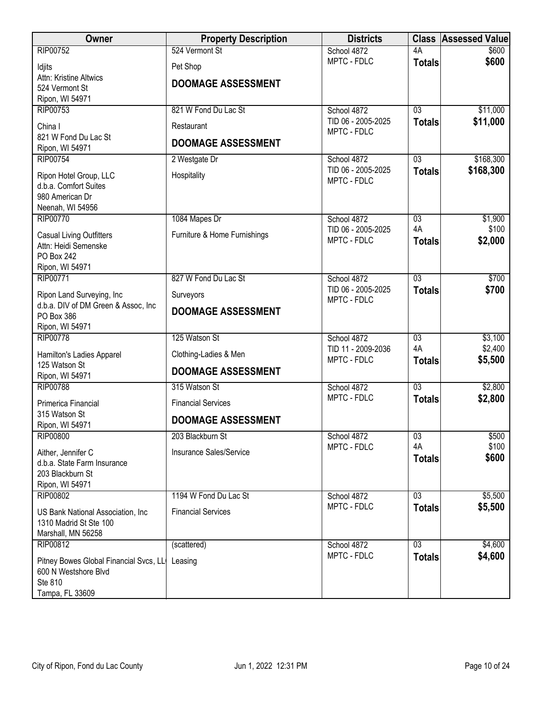| Owner                                                          | <b>Property Description</b>  | <b>Districts</b>                  |                                  | <b>Class Assessed Value</b> |
|----------------------------------------------------------------|------------------------------|-----------------------------------|----------------------------------|-----------------------------|
| <b>RIP00752</b>                                                | 524 Vermont St               | School 4872                       | 4A                               | \$600                       |
| Idjits                                                         | Pet Shop                     | MPTC - FDLC                       | <b>Totals</b>                    | \$600                       |
| Attn: Kristine Altwics<br>524 Vermont St                       | <b>DOOMAGE ASSESSMENT</b>    |                                   |                                  |                             |
| Ripon, WI 54971                                                |                              |                                   |                                  |                             |
| RIP00753                                                       | 821 W Fond Du Lac St         | School 4872                       | $\overline{03}$                  | \$11,000                    |
| China I                                                        | Restaurant                   | TID 06 - 2005-2025<br>MPTC - FDLC | <b>Totals</b>                    | \$11,000                    |
| 821 W Fond Du Lac St                                           | <b>DOOMAGE ASSESSMENT</b>    |                                   |                                  |                             |
| Ripon, WI 54971<br><b>RIP00754</b>                             | 2 Westgate Dr                | School 4872                       | $\overline{03}$                  | \$168,300                   |
|                                                                |                              | TID 06 - 2005-2025                | <b>Totals</b>                    | \$168,300                   |
| Ripon Hotel Group, LLC<br>d.b.a. Comfort Suites                | Hospitality                  | MPTC - FDLC                       |                                  |                             |
| 980 American Dr                                                |                              |                                   |                                  |                             |
| Neenah, WI 54956                                               |                              |                                   |                                  |                             |
| <b>RIP00770</b>                                                | 1084 Mapes Dr                | School 4872<br>TID 06 - 2005-2025 | 03<br>4A                         | \$1,900<br>\$100            |
| <b>Casual Living Outfitters</b>                                | Furniture & Home Furnishings | MPTC - FDLC                       | <b>Totals</b>                    | \$2,000                     |
| Attn: Heidi Semenske<br>PO Box 242                             |                              |                                   |                                  |                             |
| Ripon, WI 54971                                                |                              |                                   |                                  |                             |
| <b>RIP00771</b>                                                | 827 W Fond Du Lac St         | School 4872                       | $\overline{03}$                  | \$700                       |
| Ripon Land Surveying, Inc                                      | Surveyors                    | TID 06 - 2005-2025<br>MPTC - FDLC | <b>Totals</b>                    | \$700                       |
| d.b.a. DIV of DM Green & Assoc, Inc                            | <b>DOOMAGE ASSESSMENT</b>    |                                   |                                  |                             |
| PO Box 386<br>Ripon, WI 54971                                  |                              |                                   |                                  |                             |
| <b>RIP00778</b>                                                | 125 Watson St                | School 4872                       | $\overline{03}$                  | \$3,100                     |
| Hamilton's Ladies Apparel                                      | Clothing-Ladies & Men        | TID 11 - 2009-2036                | 4A                               | \$2,400                     |
| 125 Watson St                                                  | <b>DOOMAGE ASSESSMENT</b>    | MPTC - FDLC                       | <b>Totals</b>                    | \$5,500                     |
| Ripon, WI 54971<br><b>RIP00788</b>                             |                              |                                   | $\overline{03}$                  |                             |
|                                                                | 315 Watson St                | School 4872<br>MPTC - FDLC        | <b>Totals</b>                    | \$2,800<br>\$2,800          |
| Primerica Financial<br>315 Watson St                           | <b>Financial Services</b>    |                                   |                                  |                             |
| Ripon, WI 54971                                                | <b>DOOMAGE ASSESSMENT</b>    |                                   |                                  |                             |
| <b>RIP00800</b>                                                | 203 Blackburn St             | School 4872                       | $\overline{03}$                  | \$500                       |
| Aither, Jennifer C                                             | Insurance Sales/Service      | MPTC - FDLC                       | 4A                               | \$100<br>\$600              |
| d.b.a. State Farm Insurance                                    |                              |                                   | <b>Totals</b>                    |                             |
| 203 Blackburn St<br>Ripon, WI 54971                            |                              |                                   |                                  |                             |
| RIP00802                                                       | 1194 W Fond Du Lac St        | School 4872                       | $\overline{03}$                  | \$5,500                     |
| US Bank National Association, Inc.                             | <b>Financial Services</b>    | MPTC - FDLC                       | <b>Totals</b>                    | \$5,500                     |
| 1310 Madrid St Ste 100                                         |                              |                                   |                                  |                             |
| Marshall, MN 56258                                             |                              |                                   |                                  |                             |
| RIP00812                                                       | (scattered)                  | School 4872<br>MPTC - FDLC        | $\overline{03}$<br><b>Totals</b> | \$4,600<br>\$4,600          |
| Pitney Bowes Global Financial Svcs, LL<br>600 N Westshore Blvd | Leasing                      |                                   |                                  |                             |
| Ste 810                                                        |                              |                                   |                                  |                             |
| Tampa, FL 33609                                                |                              |                                   |                                  |                             |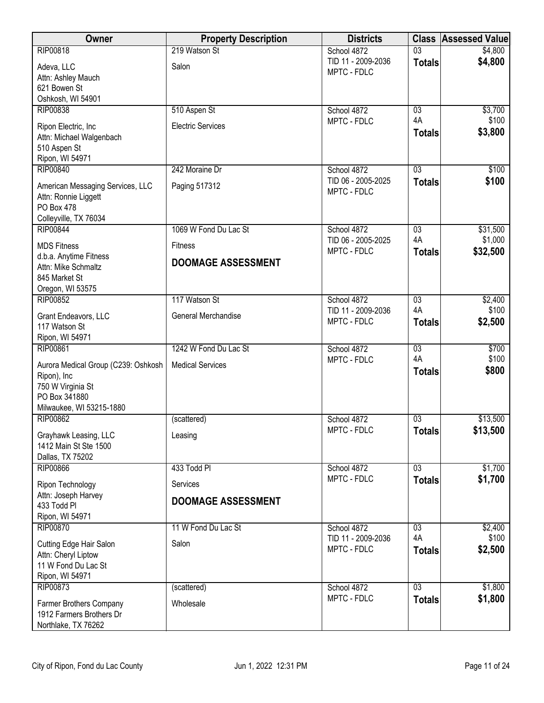| <b>Owner</b>                                       | <b>Property Description</b> | <b>Districts</b>                  | <b>Class</b>    | <b>Assessed Value</b> |
|----------------------------------------------------|-----------------------------|-----------------------------------|-----------------|-----------------------|
| <b>RIP00818</b>                                    | 219 Watson St               | School 4872                       | $\overline{03}$ | \$4,800               |
| Adeva, LLC                                         | Salon                       | TID 11 - 2009-2036<br>MPTC - FDLC | <b>Totals</b>   | \$4,800               |
| Attn: Ashley Mauch<br>621 Bowen St                 |                             |                                   |                 |                       |
| Oshkosh, WI 54901                                  |                             |                                   |                 |                       |
| <b>RIP00838</b>                                    | 510 Aspen St                | School 4872                       | $\overline{03}$ | \$3,700               |
| Ripon Electric, Inc                                | <b>Electric Services</b>    | MPTC - FDLC                       | 4A              | \$100<br>\$3,800      |
| Attn: Michael Walgenbach                           |                             |                                   | <b>Totals</b>   |                       |
| 510 Aspen St<br>Ripon, WI 54971                    |                             |                                   |                 |                       |
| <b>RIP00840</b>                                    | 242 Moraine Dr              | School 4872                       | 03              | \$100                 |
| American Messaging Services, LLC                   | Paging 517312               | TID 06 - 2005-2025                | <b>Totals</b>   | \$100                 |
| Attn: Ronnie Liggett                               |                             | MPTC - FDLC                       |                 |                       |
| PO Box 478<br>Colleyville, TX 76034                |                             |                                   |                 |                       |
| <b>RIP00844</b>                                    | 1069 W Fond Du Lac St       | School 4872                       | $\overline{03}$ | \$31,500              |
| <b>MDS Fitness</b>                                 | <b>Fitness</b>              | TID 06 - 2005-2025                | 4A              | \$1,000               |
| d.b.a. Anytime Fitness                             | <b>DOOMAGE ASSESSMENT</b>   | MPTC - FDLC                       | <b>Totals</b>   | \$32,500              |
| Attn: Mike Schmaltz                                |                             |                                   |                 |                       |
| 845 Market St<br>Oregon, WI 53575                  |                             |                                   |                 |                       |
| <b>RIP00852</b>                                    | 117 Watson St               | School 4872                       | 03              | \$2,400               |
| Grant Endeavors, LLC                               | General Merchandise         | TID 11 - 2009-2036                | 4A              | \$100                 |
| 117 Watson St                                      |                             | MPTC - FDLC                       | <b>Totals</b>   | \$2,500               |
| Ripon, WI 54971<br><b>RIP00861</b>                 | 1242 W Fond Du Lac St       | School 4872                       | $\overline{03}$ | \$700                 |
|                                                    | <b>Medical Services</b>     | MPTC - FDLC                       | 4A              | \$100                 |
| Aurora Medical Group (C239: Oshkosh<br>Ripon), Inc |                             |                                   | <b>Totals</b>   | \$800                 |
| 750 W Virginia St                                  |                             |                                   |                 |                       |
| PO Box 341880<br>Milwaukee, WI 53215-1880          |                             |                                   |                 |                       |
| <b>RIP00862</b>                                    | (scattered)                 | School 4872                       | $\overline{03}$ | \$13,500              |
| Grayhawk Leasing, LLC                              | Leasing                     | MPTC - FDLC                       | <b>Totals</b>   | \$13,500              |
| 1412 Main St Ste 1500                              |                             |                                   |                 |                       |
| Dallas, TX 75202<br><b>RIP00866</b>                | 433 Todd Pl                 |                                   | 03              | \$1,700               |
|                                                    |                             | School 4872<br>MPTC - FDLC        | <b>Totals</b>   | \$1,700               |
| Ripon Technology<br>Attn: Joseph Harvey            | Services                    |                                   |                 |                       |
| 433 Todd Pl                                        | <b>DOOMAGE ASSESSMENT</b>   |                                   |                 |                       |
| Ripon, WI 54971                                    |                             |                                   |                 |                       |
| <b>RIP00870</b>                                    | 11 W Fond Du Lac St         | School 4872<br>TID 11 - 2009-2036 | 03<br>4A        | \$2,400<br>\$100      |
| Cutting Edge Hair Salon<br>Attn: Cheryl Liptow     | Salon                       | MPTC - FDLC                       | <b>Totals</b>   | \$2,500               |
| 11 W Fond Du Lac St                                |                             |                                   |                 |                       |
| Ripon, WI 54971                                    |                             |                                   |                 |                       |
| RIP00873                                           | (scattered)                 | School 4872<br>MPTC - FDLC        | $\overline{03}$ | \$1,800<br>\$1,800    |
| Farmer Brothers Company                            | Wholesale                   |                                   | <b>Totals</b>   |                       |
| 1912 Farmers Brothers Dr<br>Northlake, TX 76262    |                             |                                   |                 |                       |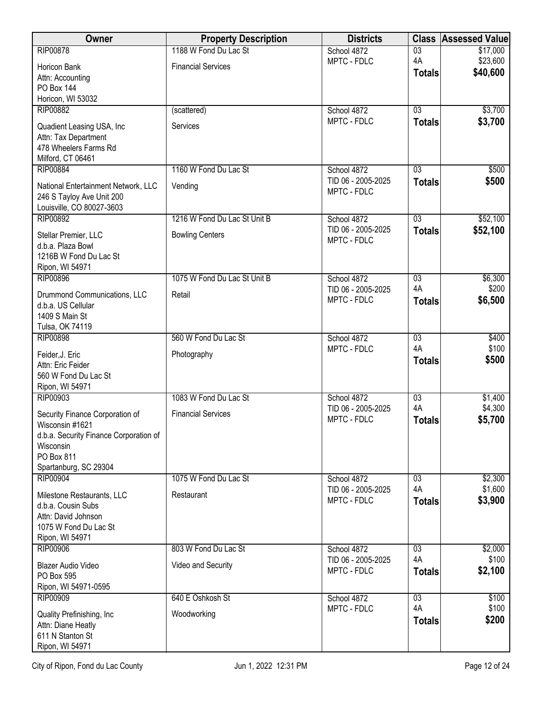| <b>Owner</b>                                       | <b>Property Description</b>  | <b>Districts</b>                  | <b>Class</b>        | <b>Assessed Value</b> |
|----------------------------------------------------|------------------------------|-----------------------------------|---------------------|-----------------------|
| <b>RIP00878</b>                                    | 1188 W Fond Du Lac St        | School 4872                       | $\overline{03}$     | \$17,000              |
| Horicon Bank                                       | <b>Financial Services</b>    | MPTC - FDLC                       | 4A                  | \$23,600<br>\$40,600  |
| Attn: Accounting                                   |                              |                                   | <b>Totals</b>       |                       |
| <b>PO Box 144</b>                                  |                              |                                   |                     |                       |
| Horicon, WI 53032<br><b>RIP00882</b>               | (scattered)                  | School 4872                       | $\overline{03}$     | \$3,700               |
|                                                    |                              | MPTC - FDLC                       | <b>Totals</b>       | \$3,700               |
| Quadient Leasing USA, Inc.<br>Attn: Tax Department | Services                     |                                   |                     |                       |
| 478 Wheelers Farms Rd                              |                              |                                   |                     |                       |
| Milford, CT 06461                                  |                              |                                   |                     |                       |
| <b>RIP00884</b>                                    | 1160 W Fond Du Lac St        | School 4872                       | 03                  | \$500                 |
| National Entertainment Network, LLC                | Vending                      | TID 06 - 2005-2025                | <b>Totals</b>       | \$500                 |
| 246 S Tayloy Ave Unit 200                          |                              | MPTC - FDLC                       |                     |                       |
| Louisville, CO 80027-3603                          |                              |                                   |                     |                       |
| <b>RIP00892</b>                                    | 1216 W Fond Du Lac St Unit B | School 4872<br>TID 06 - 2005-2025 | $\overline{03}$     | \$52,100              |
| Stellar Premier, LLC                               | <b>Bowling Centers</b>       | MPTC - FDLC                       | <b>Totals</b>       | \$52,100              |
| d.b.a. Plaza Bowl                                  |                              |                                   |                     |                       |
| 1216B W Fond Du Lac St<br>Ripon, WI 54971          |                              |                                   |                     |                       |
| <b>RIP00896</b>                                    | 1075 W Fond Du Lac St Unit B | School 4872                       | 03                  | \$6,300               |
| Drummond Communications, LLC                       | Retail                       | TID 06 - 2005-2025                | 4A                  | \$200                 |
| d.b.a. US Cellular                                 |                              | MPTC - FDLC                       | <b>Totals</b>       | \$6,500               |
| 1409 S Main St                                     |                              |                                   |                     |                       |
| Tulsa, OK 74119                                    |                              |                                   |                     |                       |
| <b>RIP00898</b>                                    | 560 W Fond Du Lac St         | School 4872                       | $\overline{03}$     | \$400                 |
| Feider, J. Eric                                    | Photography                  | MPTC - FDLC                       | 4A<br><b>Totals</b> | \$100<br>\$500        |
| Attn: Eric Feider                                  |                              |                                   |                     |                       |
| 560 W Fond Du Lac St<br>Ripon, WI 54971            |                              |                                   |                     |                       |
| <b>RIP00903</b>                                    | 1083 W Fond Du Lac St        | School 4872                       | $\overline{03}$     | \$1,400               |
|                                                    | <b>Financial Services</b>    | TID 06 - 2005-2025                | 4A                  | \$4,300               |
| Security Finance Corporation of<br>Wisconsin #1621 |                              | MPTC - FDLC                       | <b>Totals</b>       | \$5,700               |
| d.b.a. Security Finance Corporation of             |                              |                                   |                     |                       |
| Wisconsin                                          |                              |                                   |                     |                       |
| PO Box 811                                         |                              |                                   |                     |                       |
| Spartanburg, SC 29304<br><b>RIP00904</b>           | 1075 W Fond Du Lac St        | School 4872                       | $\overline{03}$     | \$2,300               |
|                                                    |                              | TID 06 - 2005-2025                | 4A                  | \$1,600               |
| Milestone Restaurants, LLC<br>d.b.a. Cousin Subs   | Restaurant                   | MPTC - FDLC                       | <b>Totals</b>       | \$3,900               |
| Attn: David Johnson                                |                              |                                   |                     |                       |
| 1075 W Fond Du Lac St                              |                              |                                   |                     |                       |
| Ripon, WI 54971                                    |                              |                                   |                     |                       |
| RIP00906                                           | 803 W Fond Du Lac St         | School 4872                       | 03<br>4A            | \$2,000<br>\$100      |
| <b>Blazer Audio Video</b>                          | Video and Security           | TID 06 - 2005-2025<br>MPTC - FDLC | <b>Totals</b>       | \$2,100               |
| PO Box 595                                         |                              |                                   |                     |                       |
| Ripon, WI 54971-0595<br><b>RIP00909</b>            | 640 E Oshkosh St             | School 4872                       | 03                  | \$100                 |
|                                                    |                              | MPTC - FDLC                       | 4A                  | \$100                 |
| Quality Prefinishing, Inc<br>Attn: Diane Heatly    | Woodworking                  |                                   | <b>Totals</b>       | \$200                 |
| 611 N Stanton St                                   |                              |                                   |                     |                       |
| Ripon, WI 54971                                    |                              |                                   |                     |                       |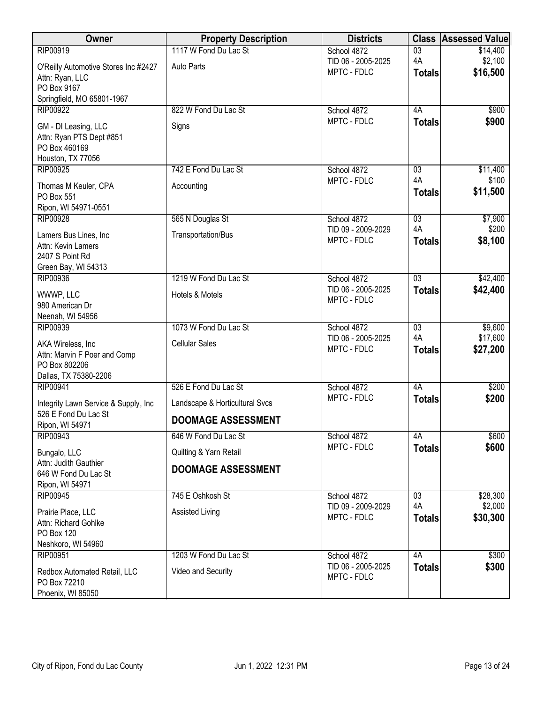| Owner                                        | <b>Property Description</b>    | <b>Districts</b>                  |                     | <b>Class Assessed Value</b> |
|----------------------------------------------|--------------------------------|-----------------------------------|---------------------|-----------------------------|
| RIP00919                                     | 1117 W Fond Du Lac St          | School 4872                       | $\overline{03}$     | \$14,400                    |
| O'Reilly Automotive Stores Inc #2427         | Auto Parts                     | TID 06 - 2005-2025<br>MPTC - FDLC | 4A                  | \$2,100<br>\$16,500         |
| Attn: Ryan, LLC                              |                                |                                   | <b>Totals</b>       |                             |
| PO Box 9167<br>Springfield, MO 65801-1967    |                                |                                   |                     |                             |
| <b>RIP00922</b>                              | 822 W Fond Du Lac St           | School 4872                       | 4A                  | \$900                       |
| GM - DI Leasing, LLC                         | Signs                          | MPTC - FDLC                       | <b>Totals</b>       | \$900                       |
| Attn: Ryan PTS Dept #851                     |                                |                                   |                     |                             |
| PO Box 460169                                |                                |                                   |                     |                             |
| Houston, TX 77056<br><b>RIP00925</b>         | 742 E Fond Du Lac St           | School 4872                       | $\overline{03}$     | \$11,400                    |
|                                              |                                | MPTC - FDLC                       | 4A                  | \$100                       |
| Thomas M Keuler, CPA<br>PO Box 551           | Accounting                     |                                   | <b>Totals</b>       | \$11,500                    |
| Ripon, WI 54971-0551                         |                                |                                   |                     |                             |
| <b>RIP00928</b>                              | 565 N Douglas St               | School 4872                       | $\overline{03}$     | \$7,900                     |
| Lamers Bus Lines, Inc                        | Transportation/Bus             | TID 09 - 2009-2029                | 4A                  | \$200                       |
| Attn: Kevin Lamers                           |                                | MPTC - FDLC                       | <b>Totals</b>       | \$8,100                     |
| 2407 S Point Rd                              |                                |                                   |                     |                             |
| Green Bay, WI 54313<br><b>RIP00936</b>       | 1219 W Fond Du Lac St          | School 4872                       | $\overline{03}$     | \$42,400                    |
| WWWP, LLC                                    | Hotels & Motels                | TID 06 - 2005-2025                | <b>Totals</b>       | \$42,400                    |
| 980 American Dr                              |                                | MPTC - FDLC                       |                     |                             |
| Neenah, WI 54956                             |                                |                                   |                     |                             |
| <b>RIP00939</b>                              | 1073 W Fond Du Lac St          | School 4872                       | $\overline{03}$     | \$9,600                     |
| AKA Wireless, Inc.                           | <b>Cellular Sales</b>          | TID 06 - 2005-2025<br>MPTC - FDLC | 4A<br><b>Totals</b> | \$17,600<br>\$27,200        |
| Attn: Marvin F Poer and Comp                 |                                |                                   |                     |                             |
| PO Box 802206<br>Dallas, TX 75380-2206       |                                |                                   |                     |                             |
| <b>RIP00941</b>                              | 526 E Fond Du Lac St           | School 4872                       | 4A                  | \$200                       |
| Integrity Lawn Service & Supply, Inc         | Landscape & Horticultural Svcs | MPTC - FDLC                       | <b>Totals</b>       | \$200                       |
| 526 E Fond Du Lac St<br>Ripon, WI 54971      | <b>DOOMAGE ASSESSMENT</b>      |                                   |                     |                             |
| RIP00943                                     | 646 W Fond Du Lac St           | School 4872                       | 4A                  | \$600                       |
| Bungalo, LLC                                 | Quilting & Yarn Retail         | MPTC - FDLC                       | <b>Totals</b>       | \$600                       |
| Attn: Judith Gauthier                        | <b>DOOMAGE ASSESSMENT</b>      |                                   |                     |                             |
| 646 W Fond Du Lac St<br>Ripon, WI 54971      |                                |                                   |                     |                             |
| <b>RIP00945</b>                              | 745 E Oshkosh St               | School 4872                       | 03                  | \$28,300                    |
| Prairie Place, LLC                           | Assisted Living                | TID 09 - 2009-2029                | 4A                  | \$2,000                     |
| Attn: Richard Gohlke                         |                                | MPTC - FDLC                       | <b>Totals</b>       | \$30,300                    |
| PO Box 120                                   |                                |                                   |                     |                             |
| Neshkoro, WI 54960<br>RIP00951               | 1203 W Fond Du Lac St          | School 4872                       | 4A                  | \$300                       |
|                                              |                                | TID 06 - 2005-2025                | <b>Totals</b>       | \$300                       |
| Redbox Automated Retail, LLC<br>PO Box 72210 | Video and Security             | MPTC - FDLC                       |                     |                             |
| Phoenix, WI 85050                            |                                |                                   |                     |                             |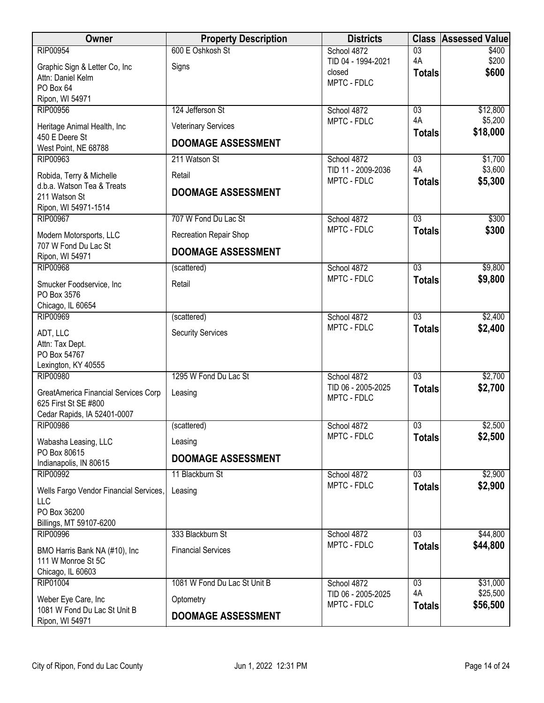| Owner                                                  | <b>Property Description</b>   | <b>Districts</b>                  | <b>Class</b>                     | <b>Assessed Value</b> |
|--------------------------------------------------------|-------------------------------|-----------------------------------|----------------------------------|-----------------------|
| <b>RIP00954</b>                                        | 600 E Oshkosh St              | School 4872                       | $\overline{03}$                  | \$400                 |
| Graphic Sign & Letter Co, Inc                          | Signs                         | TID 04 - 1994-2021<br>closed      | 4A<br><b>Totals</b>              | \$200<br>\$600        |
| Attn: Daniel Kelm                                      |                               | MPTC - FDLC                       |                                  |                       |
| PO Box 64<br>Ripon, WI 54971                           |                               |                                   |                                  |                       |
| <b>RIP00956</b>                                        | 124 Jefferson St              | School 4872                       | 03                               | \$12,800              |
| Heritage Animal Health, Inc                            | <b>Veterinary Services</b>    | MPTC - FDLC                       | 4A                               | \$5,200               |
| 450 E Deere St                                         | <b>DOOMAGE ASSESSMENT</b>     |                                   | <b>Totals</b>                    | \$18,000              |
| West Point, NE 68788                                   |                               |                                   |                                  |                       |
| RIP00963                                               | 211 Watson St                 | School 4872<br>TID 11 - 2009-2036 | $\overline{03}$<br>4A            | \$1,700<br>\$3,600    |
| Robida, Terry & Michelle<br>d.b.a. Watson Tea & Treats | Retail                        | MPTC - FDLC                       | <b>Totals</b>                    | \$5,300               |
| 211 Watson St                                          | <b>DOOMAGE ASSESSMENT</b>     |                                   |                                  |                       |
| Ripon, WI 54971-1514                                   |                               |                                   |                                  |                       |
| <b>RIP00967</b>                                        | 707 W Fond Du Lac St          | School 4872                       | $\overline{03}$                  | \$300                 |
| Modern Motorsports, LLC                                | <b>Recreation Repair Shop</b> | MPTC - FDLC                       | <b>Totals</b>                    | \$300                 |
| 707 W Fond Du Lac St<br>Ripon, WI 54971                | <b>DOOMAGE ASSESSMENT</b>     |                                   |                                  |                       |
| <b>RIP00968</b>                                        | (scattered)                   | School 4872                       | $\overline{03}$                  | \$9,800               |
| Smucker Foodservice, Inc                               | Retail                        | MPTC - FDLC                       | <b>Totals</b>                    | \$9,800               |
| PO Box 3576                                            |                               |                                   |                                  |                       |
| Chicago, IL 60654                                      |                               |                                   |                                  |                       |
| <b>RIP00969</b>                                        | (scattered)                   | School 4872<br>MPTC - FDLC        | $\overline{03}$<br><b>Totals</b> | \$2,400<br>\$2,400    |
| ADT, LLC                                               | <b>Security Services</b>      |                                   |                                  |                       |
| Attn: Tax Dept.<br>PO Box 54767                        |                               |                                   |                                  |                       |
| Lexington, KY 40555                                    |                               |                                   |                                  |                       |
| <b>RIP00980</b>                                        | 1295 W Fond Du Lac St         | School 4872                       | $\overline{03}$                  | \$2,700               |
| GreatAmerica Financial Services Corp                   | Leasing                       | TID 06 - 2005-2025<br>MPTC - FDLC | <b>Totals</b>                    | \$2,700               |
| 625 First St SE #800                                   |                               |                                   |                                  |                       |
| Cedar Rapids, IA 52401-0007<br><b>RIP00986</b>         | (scattered)                   | School 4872                       | $\overline{03}$                  | \$2,500               |
|                                                        |                               | MPTC - FDLC                       | <b>Totals</b>                    | \$2,500               |
| Wabasha Leasing, LLC<br>PO Box 80615                   | Leasing                       |                                   |                                  |                       |
| Indianapolis, IN 80615                                 | <b>DOOMAGE ASSESSMENT</b>     |                                   |                                  |                       |
| <b>RIP00992</b>                                        | 11 Blackburn St               | School 4872                       | $\overline{03}$                  | \$2,900               |
| Wells Fargo Vendor Financial Services,<br>LLC          | Leasing                       | MPTC - FDLC                       | <b>Totals</b>                    | \$2,900               |
| PO Box 36200                                           |                               |                                   |                                  |                       |
| Billings, MT 59107-6200                                |                               |                                   |                                  |                       |
| <b>RIP00996</b>                                        | 333 Blackburn St              | School 4872                       | $\overline{03}$                  | \$44,800              |
| BMO Harris Bank NA (#10), Inc                          | <b>Financial Services</b>     | MPTC - FDLC                       | <b>Totals</b>                    | \$44,800              |
| 111 W Monroe St 5C                                     |                               |                                   |                                  |                       |
| Chicago, IL 60603<br><b>RIP01004</b>                   | 1081 W Fond Du Lac St Unit B  | School 4872                       | $\overline{03}$                  | \$31,000              |
| Weber Eye Care, Inc                                    | Optometry                     | TID 06 - 2005-2025                | 4A                               | \$25,500              |
| 1081 W Fond Du Lac St Unit B                           |                               | MPTC - FDLC                       | <b>Totals</b>                    | \$56,500              |
| Ripon, WI 54971                                        | <b>DOOMAGE ASSESSMENT</b>     |                                   |                                  |                       |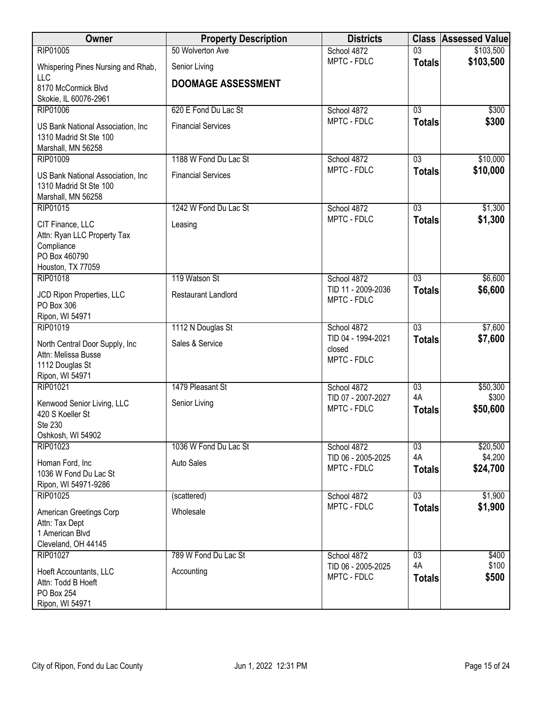| Owner                                                                                               | <b>Property Description</b> | <b>Districts</b>                            | <b>Class</b>        | <b>Assessed Value</b> |
|-----------------------------------------------------------------------------------------------------|-----------------------------|---------------------------------------------|---------------------|-----------------------|
| RIP01005                                                                                            | 50 Wolverton Ave            | School 4872                                 | $\overline{03}$     | \$103,500             |
| Whispering Pines Nursing and Rhab,<br>LLC                                                           | Senior Living               | MPTC - FDLC                                 | <b>Totals</b>       | \$103,500             |
| 8170 McCormick Blvd                                                                                 | <b>DOOMAGE ASSESSMENT</b>   |                                             |                     |                       |
| Skokie, IL 60076-2961                                                                               |                             |                                             |                     |                       |
| <b>RIP01006</b>                                                                                     | 620 E Fond Du Lac St        | School 4872                                 | 03                  | \$300                 |
| US Bank National Association, Inc<br>1310 Madrid St Ste 100<br>Marshall, MN 56258                   | <b>Financial Services</b>   | MPTC - FDLC                                 | <b>Totals</b>       | \$300                 |
| RIP01009                                                                                            | 1188 W Fond Du Lac St       | School 4872                                 | 03                  | \$10,000              |
| US Bank National Association, Inc<br>1310 Madrid St Ste 100<br>Marshall, MN 56258                   | <b>Financial Services</b>   | MPTC - FDLC                                 | <b>Totals</b>       | \$10,000              |
| RIP01015                                                                                            | 1242 W Fond Du Lac St       | School 4872                                 | $\overline{03}$     | \$1,300               |
| CIT Finance, LLC<br>Attn: Ryan LLC Property Tax<br>Compliance<br>PO Box 460790<br>Houston, TX 77059 | Leasing                     | MPTC - FDLC                                 | <b>Totals</b>       | \$1,300               |
| RIP01018                                                                                            | 119 Watson St               | School 4872                                 | $\overline{03}$     | \$6,600               |
| JCD Ripon Properties, LLC<br>PO Box 306<br>Ripon, WI 54971                                          | <b>Restaurant Landlord</b>  | TID 11 - 2009-2036<br>MPTC - FDLC           | <b>Totals</b>       | \$6,600               |
| RIP01019                                                                                            | 1112 N Douglas St           | School 4872                                 | $\overline{03}$     | \$7,600               |
| North Central Door Supply, Inc.<br>Attn: Melissa Busse<br>1112 Douglas St<br>Ripon, WI 54971        | Sales & Service             | TID 04 - 1994-2021<br>closed<br>MPTC - FDLC | <b>Totals</b>       | \$7,600               |
| RIP01021                                                                                            | 1479 Pleasant St            | School 4872                                 | $\overline{03}$     | \$50,300              |
| Kenwood Senior Living, LLC<br>420 S Koeller St<br>Ste 230<br>Oshkosh, WI 54902                      | Senior Living               | TID 07 - 2007-2027<br>MPTC - FDLC           | 4A<br><b>Totals</b> | \$300<br>\$50,600     |
| RIP01023                                                                                            | 1036 W Fond Du Lac St       | School 4872                                 | 03                  | \$20,500              |
| Homan Ford, Inc<br>1036 W Fond Du Lac St<br>Ripon, WI 54971-9286                                    | <b>Auto Sales</b>           | TID 06 - 2005-2025<br>MPTC - FDLC           | 4A<br><b>Totals</b> | \$4,200<br>\$24,700   |
| RIP01025                                                                                            | (scattered)                 | School 4872                                 | 03                  | \$1,900               |
| American Greetings Corp<br>Attn: Tax Dept<br>1 American Blvd<br>Cleveland, OH 44145                 | Wholesale                   | MPTC - FDLC                                 | <b>Totals</b>       | \$1,900               |
| RIP01027                                                                                            | 789 W Fond Du Lac St        | School 4872                                 | $\overline{03}$     | \$400                 |
| Hoeft Accountants, LLC<br>Attn: Todd B Hoeft<br>PO Box 254<br>Ripon, WI 54971                       | Accounting                  | TID 06 - 2005-2025<br>MPTC - FDLC           | 4A<br><b>Totals</b> | \$100<br>\$500        |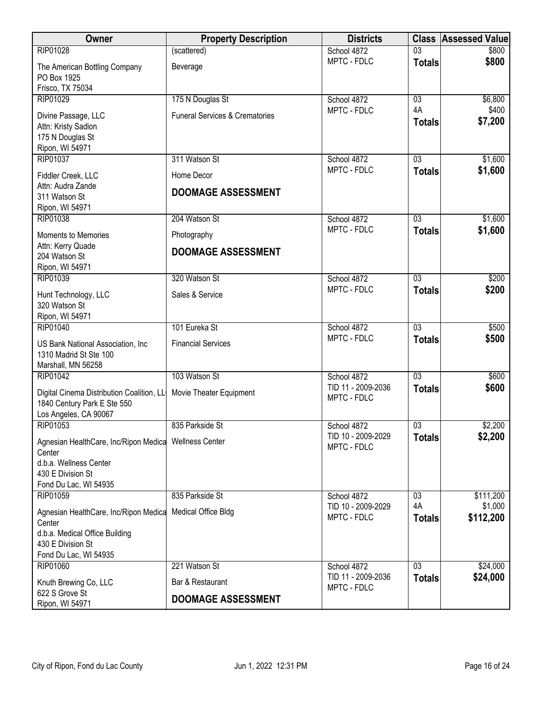| RIP01028<br>$\overline{03}$<br>\$800<br>(scattered)<br>School 4872<br>MPTC - FDLC<br>\$800<br><b>Totals</b><br>The American Bottling Company<br>Beverage<br>PO Box 1925<br>Frisco, TX 75034<br>RIP01029<br>175 N Douglas St<br>School 4872<br>\$6,800<br>$\overline{03}$<br>4A<br>\$400<br>MPTC - FDLC<br><b>Funeral Services &amp; Crematories</b><br>Divine Passage, LLC<br>\$7,200<br><b>Totals</b><br>Attn: Kristy Sadlon<br>175 N Douglas St<br>Ripon, WI 54971<br><b>RIP01037</b><br>311 Watson St<br>03<br>\$1,600<br>School 4872<br>MPTC - FDLC<br>\$1,600<br><b>Totals</b><br>Home Decor<br>Fiddler Creek, LLC<br>Attn: Audra Zande<br><b>DOOMAGE ASSESSMENT</b><br>311 Watson St<br>Ripon, WI 54971 |
|---------------------------------------------------------------------------------------------------------------------------------------------------------------------------------------------------------------------------------------------------------------------------------------------------------------------------------------------------------------------------------------------------------------------------------------------------------------------------------------------------------------------------------------------------------------------------------------------------------------------------------------------------------------------------------------------------------------|
|                                                                                                                                                                                                                                                                                                                                                                                                                                                                                                                                                                                                                                                                                                               |
|                                                                                                                                                                                                                                                                                                                                                                                                                                                                                                                                                                                                                                                                                                               |
|                                                                                                                                                                                                                                                                                                                                                                                                                                                                                                                                                                                                                                                                                                               |
|                                                                                                                                                                                                                                                                                                                                                                                                                                                                                                                                                                                                                                                                                                               |
|                                                                                                                                                                                                                                                                                                                                                                                                                                                                                                                                                                                                                                                                                                               |
|                                                                                                                                                                                                                                                                                                                                                                                                                                                                                                                                                                                                                                                                                                               |
|                                                                                                                                                                                                                                                                                                                                                                                                                                                                                                                                                                                                                                                                                                               |
|                                                                                                                                                                                                                                                                                                                                                                                                                                                                                                                                                                                                                                                                                                               |
|                                                                                                                                                                                                                                                                                                                                                                                                                                                                                                                                                                                                                                                                                                               |
|                                                                                                                                                                                                                                                                                                                                                                                                                                                                                                                                                                                                                                                                                                               |
|                                                                                                                                                                                                                                                                                                                                                                                                                                                                                                                                                                                                                                                                                                               |
|                                                                                                                                                                                                                                                                                                                                                                                                                                                                                                                                                                                                                                                                                                               |
|                                                                                                                                                                                                                                                                                                                                                                                                                                                                                                                                                                                                                                                                                                               |
|                                                                                                                                                                                                                                                                                                                                                                                                                                                                                                                                                                                                                                                                                                               |
| RIP01038<br>204 Watson St<br>School 4872<br>$\overline{03}$<br>\$1,600                                                                                                                                                                                                                                                                                                                                                                                                                                                                                                                                                                                                                                        |
| \$1,600<br>MPTC - FDLC<br><b>Totals</b><br><b>Moments to Memories</b><br>Photography                                                                                                                                                                                                                                                                                                                                                                                                                                                                                                                                                                                                                          |
| Attn: Kerry Quade<br><b>DOOMAGE ASSESSMENT</b>                                                                                                                                                                                                                                                                                                                                                                                                                                                                                                                                                                                                                                                                |
| 204 Watson St                                                                                                                                                                                                                                                                                                                                                                                                                                                                                                                                                                                                                                                                                                 |
| Ripon, WI 54971                                                                                                                                                                                                                                                                                                                                                                                                                                                                                                                                                                                                                                                                                               |
| RIP01039<br>320 Watson St<br>$\overline{03}$<br>\$200<br>School 4872                                                                                                                                                                                                                                                                                                                                                                                                                                                                                                                                                                                                                                          |
| MPTC - FDLC<br>\$200<br><b>Totals</b><br>Sales & Service<br>Hunt Technology, LLC                                                                                                                                                                                                                                                                                                                                                                                                                                                                                                                                                                                                                              |
| 320 Watson St                                                                                                                                                                                                                                                                                                                                                                                                                                                                                                                                                                                                                                                                                                 |
| Ripon, WI 54971                                                                                                                                                                                                                                                                                                                                                                                                                                                                                                                                                                                                                                                                                               |
| 101 Eureka St<br>$\overline{03}$<br>\$500<br>RIP01040<br>School 4872                                                                                                                                                                                                                                                                                                                                                                                                                                                                                                                                                                                                                                          |
| MPTC - FDLC<br>\$500<br><b>Totals</b><br><b>Financial Services</b><br>US Bank National Association, Inc                                                                                                                                                                                                                                                                                                                                                                                                                                                                                                                                                                                                       |
| 1310 Madrid St Ste 100                                                                                                                                                                                                                                                                                                                                                                                                                                                                                                                                                                                                                                                                                        |
| Marshall, MN 56258                                                                                                                                                                                                                                                                                                                                                                                                                                                                                                                                                                                                                                                                                            |
| 103 Watson St<br>RIP01042<br>School 4872<br>03<br>\$600                                                                                                                                                                                                                                                                                                                                                                                                                                                                                                                                                                                                                                                       |
| TID 11 - 2009-2036<br>\$600<br><b>Totals</b><br>Digital Cinema Distribution Coalition, LL<br>Movie Theater Equipment                                                                                                                                                                                                                                                                                                                                                                                                                                                                                                                                                                                          |
| MPTC - FDLC<br>1840 Century Park E Ste 550                                                                                                                                                                                                                                                                                                                                                                                                                                                                                                                                                                                                                                                                    |
| Los Angeles, CA 90067                                                                                                                                                                                                                                                                                                                                                                                                                                                                                                                                                                                                                                                                                         |
| RIP01053<br>\$2,200<br>835 Parkside St<br>$\overline{03}$<br>School 4872                                                                                                                                                                                                                                                                                                                                                                                                                                                                                                                                                                                                                                      |
| TID 10 - 2009-2029<br>\$2,200<br><b>Totals</b><br>Agnesian HealthCare, Inc/Ripon Medica Wellness Center                                                                                                                                                                                                                                                                                                                                                                                                                                                                                                                                                                                                       |
| MPTC - FDLC<br>Center                                                                                                                                                                                                                                                                                                                                                                                                                                                                                                                                                                                                                                                                                         |
| d.b.a. Wellness Center                                                                                                                                                                                                                                                                                                                                                                                                                                                                                                                                                                                                                                                                                        |
| 430 E Division St                                                                                                                                                                                                                                                                                                                                                                                                                                                                                                                                                                                                                                                                                             |
| Fond Du Lac, WI 54935                                                                                                                                                                                                                                                                                                                                                                                                                                                                                                                                                                                                                                                                                         |
| 835 Parkside St<br>RIP01059<br>School 4872<br>\$111,200<br>03                                                                                                                                                                                                                                                                                                                                                                                                                                                                                                                                                                                                                                                 |
| 4A<br>\$1,000<br>TID 10 - 2009-2029<br>Medical Office Bldg<br>Agnesian HealthCare, Inc/Ripon Medica                                                                                                                                                                                                                                                                                                                                                                                                                                                                                                                                                                                                           |
| MPTC - FDLC<br>\$112,200<br><b>Totals</b><br>Center                                                                                                                                                                                                                                                                                                                                                                                                                                                                                                                                                                                                                                                           |
| d.b.a. Medical Office Building                                                                                                                                                                                                                                                                                                                                                                                                                                                                                                                                                                                                                                                                                |
| 430 E Division St                                                                                                                                                                                                                                                                                                                                                                                                                                                                                                                                                                                                                                                                                             |
| Fond Du Lac, WI 54935                                                                                                                                                                                                                                                                                                                                                                                                                                                                                                                                                                                                                                                                                         |
| <b>RIP01060</b><br>221 Watson St<br>$\overline{03}$<br>School 4872<br>\$24,000                                                                                                                                                                                                                                                                                                                                                                                                                                                                                                                                                                                                                                |
| \$24,000<br>TID 11 - 2009-2036<br><b>Totals</b><br>Bar & Restaurant<br>Knuth Brewing Co, LLC<br>MPTC - FDLC                                                                                                                                                                                                                                                                                                                                                                                                                                                                                                                                                                                                   |
| 622 S Grove St<br><b>DOOMAGE ASSESSMENT</b><br>Ripon, WI 54971                                                                                                                                                                                                                                                                                                                                                                                                                                                                                                                                                                                                                                                |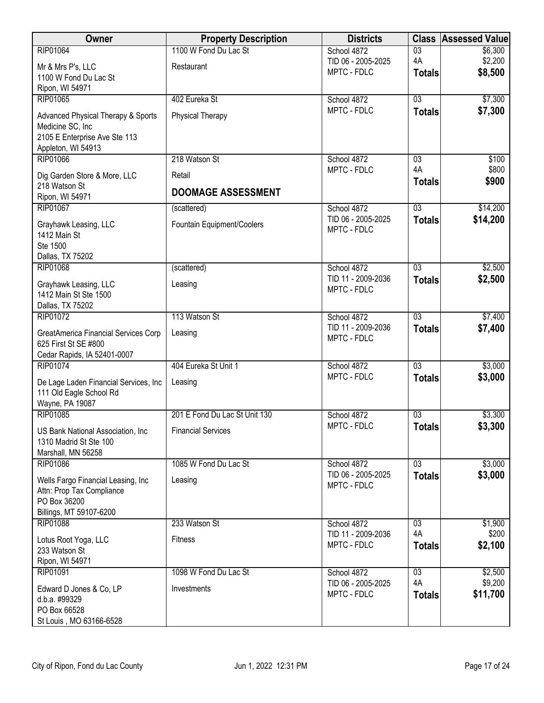| Owner                                                        | <b>Property Description</b>   | <b>Districts</b>                  | <b>Class</b>                     | <b>Assessed Value</b> |
|--------------------------------------------------------------|-------------------------------|-----------------------------------|----------------------------------|-----------------------|
| RIP01064                                                     | 1100 W Fond Du Lac St         | School 4872                       | $\overline{03}$                  | \$6,300               |
| Mr & Mrs P's, LLC                                            | Restaurant                    | TID 06 - 2005-2025<br>MPTC - FDLC | 4A<br><b>Totals</b>              | \$2,200<br>\$8,500    |
| 1100 W Fond Du Lac St                                        |                               |                                   |                                  |                       |
| Ripon, WI 54971<br>RIP01065                                  | 402 Eureka St                 | School 4872                       | $\overline{03}$                  | \$7,300               |
| Advanced Physical Therapy & Sports                           | <b>Physical Therapy</b>       | MPTC - FDLC                       | <b>Totals</b>                    | \$7,300               |
| Medicine SC, Inc                                             |                               |                                   |                                  |                       |
| 2105 E Enterprise Ave Ste 113                                |                               |                                   |                                  |                       |
| Appleton, WI 54913                                           | 218 Watson St                 |                                   |                                  |                       |
| RIP01066                                                     |                               | School 4872<br>MPTC - FDLC        | $\overline{03}$<br>4A            | \$100<br>\$800        |
| Dig Garden Store & More, LLC<br>218 Watson St                | Retail                        |                                   | <b>Totals</b>                    | \$900                 |
| Ripon, WI 54971                                              | <b>DOOMAGE ASSESSMENT</b>     |                                   |                                  |                       |
| <b>RIP01067</b>                                              | (scattered)                   | School 4872                       | $\overline{03}$                  | \$14,200              |
| Grayhawk Leasing, LLC                                        | Fountain Equipment/Coolers    | TID 06 - 2005-2025<br>MPTC - FDLC | <b>Totals</b>                    | \$14,200              |
| 1412 Main St                                                 |                               |                                   |                                  |                       |
| Ste 1500<br>Dallas, TX 75202                                 |                               |                                   |                                  |                       |
| RIP01068                                                     | (scattered)                   | School 4872                       | $\overline{03}$                  | \$2,500               |
| Grayhawk Leasing, LLC                                        | Leasing                       | TID 11 - 2009-2036                | <b>Totals</b>                    | \$2,500               |
| 1412 Main St Ste 1500                                        |                               | MPTC - FDLC                       |                                  |                       |
| Dallas, TX 75202                                             |                               |                                   |                                  |                       |
| RIP01072                                                     | 113 Watson St                 | School 4872<br>TID 11 - 2009-2036 | $\overline{03}$<br><b>Totals</b> | \$7,400<br>\$7,400    |
| GreatAmerica Financial Services Corp<br>625 First St SE #800 | Leasing                       | MPTC - FDLC                       |                                  |                       |
| Cedar Rapids, IA 52401-0007                                  |                               |                                   |                                  |                       |
| RIP01074                                                     | 404 Eureka St Unit 1          | School 4872                       | $\overline{03}$                  | \$3,000               |
| De Lage Laden Financial Services, Inc                        | Leasing                       | MPTC - FDLC                       | <b>Totals</b>                    | \$3,000               |
| 111 Old Eagle School Rd                                      |                               |                                   |                                  |                       |
| Wayne, PA 19087<br>RIP01085                                  | 201 E Fond Du Lac St Unit 130 | School 4872                       | 03                               | \$3,300               |
|                                                              |                               | MPTC - FDLC                       | <b>Totals</b>                    | \$3,300               |
| US Bank National Association, Inc<br>1310 Madrid St Ste 100  | <b>Financial Services</b>     |                                   |                                  |                       |
| Marshall, MN 56258                                           |                               |                                   |                                  |                       |
| RIP01086                                                     | 1085 W Fond Du Lac St         | School 4872                       | $\overline{03}$                  | \$3,000               |
| Wells Fargo Financial Leasing, Inc                           | Leasing                       | TID 06 - 2005-2025<br>MPTC - FDLC | <b>Totals</b>                    | \$3,000               |
| Attn: Prop Tax Compliance                                    |                               |                                   |                                  |                       |
| PO Box 36200<br>Billings, MT 59107-6200                      |                               |                                   |                                  |                       |
| <b>RIP01088</b>                                              | 233 Watson St                 | School 4872                       | 03                               | \$1,900               |
| Lotus Root Yoga, LLC                                         | <b>Fitness</b>                | TID 11 - 2009-2036                | 4A                               | \$200                 |
| 233 Watson St                                                |                               | MPTC - FDLC                       | <b>Totals</b>                    | \$2,100               |
| Ripon, WI 54971<br>RIP01091                                  | 1098 W Fond Du Lac St         | School 4872                       | $\overline{03}$                  | \$2,500               |
|                                                              |                               | TID 06 - 2005-2025                | 4A                               | \$9,200               |
| Edward D Jones & Co, LP<br>d.b.a. #99329                     | Investments                   | MPTC - FDLC                       | <b>Totals</b>                    | \$11,700              |
| PO Box 66528                                                 |                               |                                   |                                  |                       |
| St Louis, MO 63166-6528                                      |                               |                                   |                                  |                       |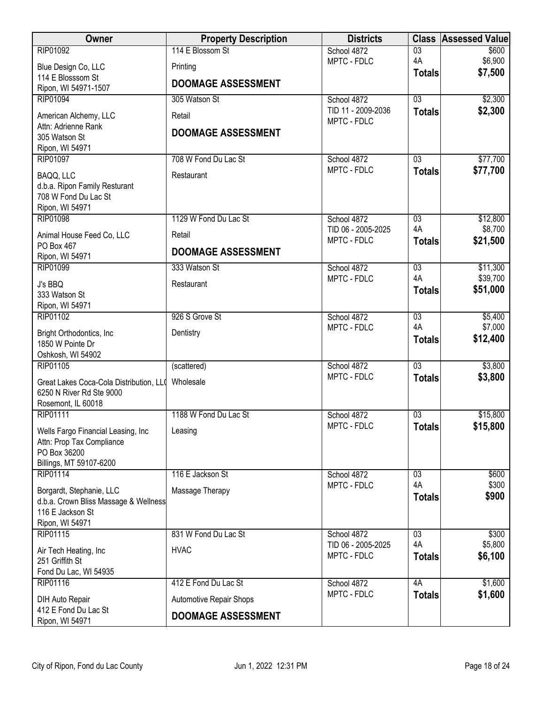| Owner                                                           | <b>Property Description</b> | <b>Districts</b>   | <b>Class</b>          | <b>Assessed Value</b> |
|-----------------------------------------------------------------|-----------------------------|--------------------|-----------------------|-----------------------|
| RIP01092                                                        | 114 E Blossom St            | School 4872        | $\overline{03}$       | \$600                 |
| Blue Design Co, LLC                                             | Printing                    | MPTC - FDLC        | 4A                    | \$6,900<br>\$7,500    |
| 114 E Blosssom St                                               | <b>DOOMAGE ASSESSMENT</b>   |                    | <b>Totals</b>         |                       |
| Ripon, WI 54971-1507<br><b>RIP01094</b>                         | 305 Watson St               | School 4872        | $\overline{03}$       | \$2,300               |
|                                                                 |                             | TID 11 - 2009-2036 | <b>Totals</b>         | \$2,300               |
| American Alchemy, LLC<br>Attn: Adrienne Rank                    | Retail                      | MPTC - FDLC        |                       |                       |
| 305 Watson St                                                   | <b>DOOMAGE ASSESSMENT</b>   |                    |                       |                       |
| Ripon, WI 54971                                                 |                             |                    |                       |                       |
| RIP01097                                                        | 708 W Fond Du Lac St        | School 4872        | $\overline{03}$       | \$77,700              |
| BAQQ, LLC                                                       | Restaurant                  | MPTC - FDLC        | <b>Totals</b>         | \$77,700              |
| d.b.a. Ripon Family Resturant                                   |                             |                    |                       |                       |
| 708 W Fond Du Lac St<br>Ripon, WI 54971                         |                             |                    |                       |                       |
| RIP01098                                                        | 1129 W Fond Du Lac St       | School 4872        | 03                    | \$12,800              |
| Animal House Feed Co, LLC                                       | Retail                      | TID 06 - 2005-2025 | 4A                    | \$8,700               |
| PO Box 467                                                      |                             | MPTC - FDLC        | <b>Totals</b>         | \$21,500              |
| Ripon, WI 54971                                                 | <b>DOOMAGE ASSESSMENT</b>   |                    |                       |                       |
| RIP01099                                                        | 333 Watson St               | School 4872        | $\overline{03}$<br>4A | \$11,300              |
| J's BBQ                                                         | Restaurant                  | MPTC - FDLC        | <b>Totals</b>         | \$39,700<br>\$51,000  |
| 333 Watson St                                                   |                             |                    |                       |                       |
| Ripon, WI 54971<br>RIP01102                                     | 926 S Grove St              | School 4872        | $\overline{03}$       | \$5,400               |
|                                                                 |                             | MPTC - FDLC        | 4A                    | \$7,000               |
| Bright Orthodontics, Inc.<br>1850 W Pointe Dr                   | Dentistry                   |                    | <b>Totals</b>         | \$12,400              |
| Oshkosh, WI 54902                                               |                             |                    |                       |                       |
| RIP01105                                                        | (scattered)                 | School 4872        | $\overline{03}$       | \$3,800               |
| Great Lakes Coca-Cola Distribution, LLO                         | Wholesale                   | MPTC - FDLC        | <b>Totals</b>         | \$3,800               |
| 6250 N River Rd Ste 9000                                        |                             |                    |                       |                       |
| Rosemont, IL 60018<br>RIP01111                                  | 1188 W Fond Du Lac St       | School 4872        | $\overline{03}$       | \$15,800              |
|                                                                 |                             | MPTC - FDLC        | <b>Totals</b>         | \$15,800              |
| Wells Fargo Financial Leasing, Inc<br>Attn: Prop Tax Compliance | Leasing                     |                    |                       |                       |
| PO Box 36200                                                    |                             |                    |                       |                       |
| Billings, MT 59107-6200                                         |                             |                    |                       |                       |
| RIP01114                                                        | 116 E Jackson St            | School 4872        | 03                    | \$600                 |
| Borgardt, Stephanie, LLC                                        | Massage Therapy             | MPTC - FDLC        | 4A<br><b>Totals</b>   | \$300<br>\$900        |
| d.b.a. Crown Bliss Massage & Wellness                           |                             |                    |                       |                       |
| 116 E Jackson St<br>Ripon, WI 54971                             |                             |                    |                       |                       |
| RIP01115                                                        | 831 W Fond Du Lac St        | School 4872        | $\overline{03}$       | \$300                 |
| Air Tech Heating, Inc                                           | <b>HVAC</b>                 | TID 06 - 2005-2025 | 4A                    | \$5,800               |
| 251 Griffith St                                                 |                             | MPTC - FDLC        | <b>Totals</b>         | \$6,100               |
| Fond Du Lac, WI 54935                                           |                             |                    |                       |                       |
| RIP01116                                                        | 412 E Fond Du Lac St        | School 4872        | 4A                    | \$1,600               |
| DIH Auto Repair                                                 | Automotive Repair Shops     | MPTC - FDLC        | <b>Totals</b>         | \$1,600               |
| 412 E Fond Du Lac St<br>Ripon, WI 54971                         | <b>DOOMAGE ASSESSMENT</b>   |                    |                       |                       |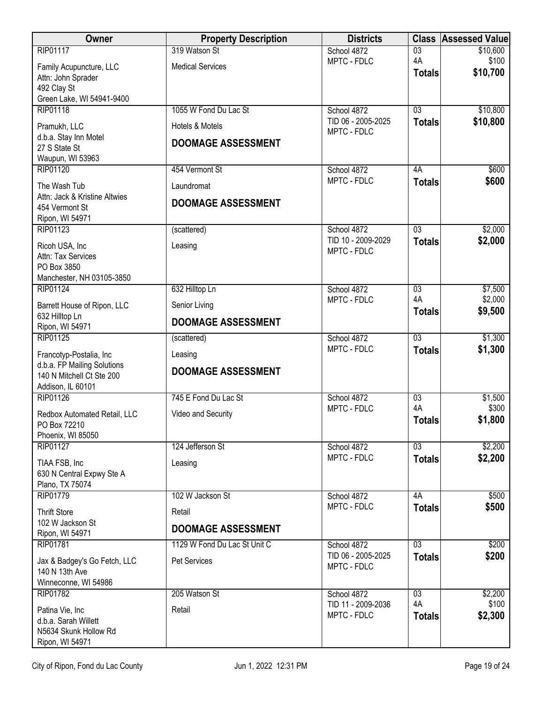| <b>Owner</b>                                   | <b>Property Description</b>  | <b>Districts</b>                  | <b>Class</b>          | <b>Assessed Value</b> |
|------------------------------------------------|------------------------------|-----------------------------------|-----------------------|-----------------------|
| <b>RIP01117</b>                                | 319 Watson St                | School 4872                       | $\overline{03}$       | \$10,600              |
| Family Acupuncture, LLC                        | <b>Medical Services</b>      | MPTC - FDLC                       | 4A<br><b>Totals</b>   | \$100<br>\$10,700     |
| Attn: John Sprader<br>492 Clay St              |                              |                                   |                       |                       |
| Green Lake, WI 54941-9400                      |                              |                                   |                       |                       |
| RIP01118                                       | 1055 W Fond Du Lac St        | School 4872                       | $\overline{03}$       | \$10,800              |
| Pramukh, LLC                                   | Hotels & Motels              | TID 06 - 2005-2025<br>MPTC - FDLC | <b>Totals</b>         | \$10,800              |
| d.b.a. Stay Inn Motel                          | <b>DOOMAGE ASSESSMENT</b>    |                                   |                       |                       |
| 27 S State St<br>Waupun, WI 53963              |                              |                                   |                       |                       |
| RIP01120                                       | 454 Vermont St               | School 4872                       | 4A                    | \$600                 |
| The Wash Tub                                   | Laundromat                   | MPTC - FDLC                       | <b>Totals</b>         | \$600                 |
| Attn: Jack & Kristine Altwies                  |                              |                                   |                       |                       |
| 454 Vermont St                                 | <b>DOOMAGE ASSESSMENT</b>    |                                   |                       |                       |
| Ripon, WI 54971<br>RIP01123                    | (scattered)                  | School 4872                       | $\overline{03}$       | \$2,000               |
|                                                |                              | TID 10 - 2009-2029                | <b>Totals</b>         | \$2,000               |
| Ricoh USA, Inc<br>Attn: Tax Services           | Leasing                      | MPTC - FDLC                       |                       |                       |
| PO Box 3850                                    |                              |                                   |                       |                       |
| Manchester, NH 03105-3850                      |                              |                                   |                       |                       |
| <b>RIP01124</b>                                | 632 Hilltop Ln               | School 4872<br>MPTC - FDLC        | 03<br>4A              | \$7,500<br>\$2,000    |
| Barrett House of Ripon, LLC<br>632 Hilltop Ln  | Senior Living                |                                   | <b>Totals</b>         | \$9,500               |
| Ripon, WI 54971                                | <b>DOOMAGE ASSESSMENT</b>    |                                   |                       |                       |
| RIP01125                                       | (scattered)                  | School 4872                       | $\overline{03}$       | \$1,300               |
| Francotyp-Postalia, Inc                        | Leasing                      | MPTC - FDLC                       | <b>Totals</b>         | \$1,300               |
| d.b.a. FP Mailing Solutions                    | <b>DOOMAGE ASSESSMENT</b>    |                                   |                       |                       |
| 140 N Mitchell Ct Ste 200<br>Addison, IL 60101 |                              |                                   |                       |                       |
| <b>RIP01126</b>                                | 745 E Fond Du Lac St         | School 4872                       | $\overline{03}$       | \$1,500               |
| Redbox Automated Retail, LLC                   | Video and Security           | MPTC - FDLC                       | 4A                    | \$300                 |
| PO Box 72210                                   |                              |                                   | <b>Totals</b>         | \$1,800               |
| Phoenix, WI 85050<br><b>RIP01127</b>           | 124 Jefferson St             | School 4872                       | 03                    | \$2,200               |
|                                                |                              | MPTC - FDLC                       | <b>Totals</b>         | \$2,200               |
| TIAA FSB, Inc<br>630 N Central Expwy Ste A     | Leasing                      |                                   |                       |                       |
| Plano, TX 75074                                |                              |                                   |                       |                       |
| <b>RIP01779</b>                                | 102 W Jackson St             | School 4872                       | 4A                    | \$500                 |
| <b>Thrift Store</b>                            | Retail                       | MPTC - FDLC                       | <b>Totals</b>         | \$500                 |
| 102 W Jackson St<br>Ripon, WI 54971            | <b>DOOMAGE ASSESSMENT</b>    |                                   |                       |                       |
| <b>RIP01781</b>                                | 1129 W Fond Du Lac St Unit C | School 4872                       | $\overline{03}$       | \$200                 |
| Jax & Badgey's Go Fetch, LLC                   | Pet Services                 | TID 06 - 2005-2025                | <b>Totals</b>         | \$200                 |
| 140 N 13th Ave                                 |                              | MPTC - FDLC                       |                       |                       |
| Winneconne, WI 54986                           |                              |                                   |                       |                       |
| <b>RIP01782</b>                                | 205 Watson St                | School 4872<br>TID 11 - 2009-2036 | $\overline{03}$<br>4A | \$2,200<br>\$100      |
| Patina Vie, Inc                                | Retail                       | MPTC - FDLC                       | <b>Totals</b>         | \$2,300               |
| d.b.a. Sarah Willett<br>N5634 Skunk Hollow Rd  |                              |                                   |                       |                       |
| Ripon, WI 54971                                |                              |                                   |                       |                       |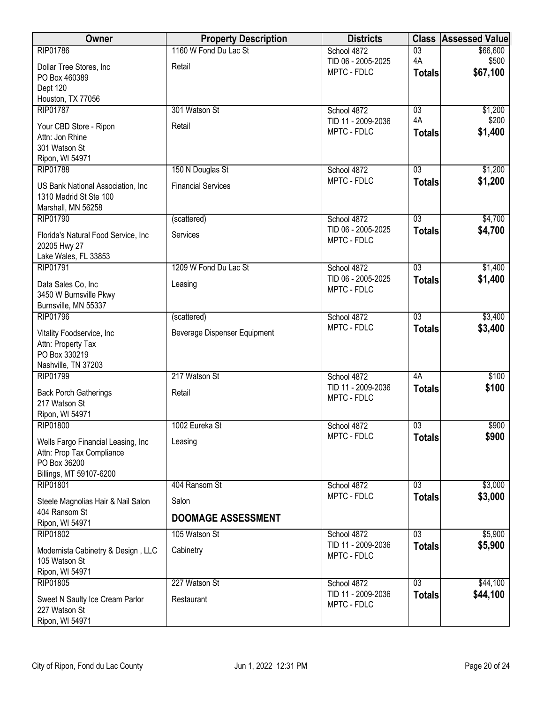| $\overline{03}$<br>\$66,600<br>School 4872<br>4A<br>\$500<br>TID 06 - 2005-2025<br>Dollar Tree Stores, Inc<br>Retail<br>\$67,100<br>MPTC - FDLC<br><b>Totals</b><br>PO Box 460389<br>Dept 120<br>Houston, TX 77056<br><b>RIP01787</b><br>301 Watson St<br>03<br>\$1,200<br>School 4872<br>4A<br>\$200<br>TID 11 - 2009-2036<br>Your CBD Store - Ripon<br>Retail<br>MPTC - FDLC<br>\$1,400<br><b>Totals</b><br>Attn: Jon Rhine<br>301 Watson St<br>Ripon, WI 54971<br>\$1,200<br>150 N Douglas St<br>03<br><b>RIP01788</b><br>School 4872<br>MPTC - FDLC<br>\$1,200<br><b>Totals</b><br><b>Financial Services</b><br>US Bank National Association, Inc.<br>1310 Madrid St Ste 100<br>Marshall, MN 56258<br>$\overline{03}$<br>\$4,700<br>RIP01790<br>(scattered)<br>School 4872<br>TID 06 - 2005-2025<br>\$4,700<br><b>Totals</b><br>Services<br>Florida's Natural Food Service, Inc.<br>MPTC - FDLC<br>20205 Hwy 27<br>Lake Wales, FL 33853<br>\$1,400<br>RIP01791<br>1209 W Fond Du Lac St<br>$\overline{03}$<br>School 4872<br>\$1,400<br>TID 06 - 2005-2025<br><b>Totals</b><br>Data Sales Co, Inc<br>Leasing<br>MPTC - FDLC<br>3450 W Burnsville Pkwy<br>Burnsville, MN 55337<br>$\overline{03}$<br>\$3,400<br><b>RIP01796</b><br>School 4872<br>(scattered)<br>MPTC - FDLC<br>\$3,400<br><b>Totals</b><br>Beverage Dispenser Equipment<br>Vitality Foodservice, Inc<br>Attn: Property Tax<br>PO Box 330219<br>Nashville, TN 37203<br>217 Watson St<br>\$100<br><b>RIP01799</b><br>4A<br>School 4872<br>TID 11 - 2009-2036<br>\$100<br><b>Totals</b><br>Retail<br><b>Back Porch Gatherings</b><br>MPTC - FDLC<br>217 Watson St<br>Ripon, WI 54971<br>RIP01800<br>1002 Eureka St<br>03<br>\$900<br>School 4872<br>MPTC - FDLC<br>\$900<br><b>Totals</b><br>Wells Fargo Financial Leasing, Inc<br>Leasing<br>Attn: Prop Tax Compliance<br>PO Box 36200<br>Billings, MT 59107-6200<br>RIP01801<br>404 Ransom St<br>\$3,000<br>School 4872<br>03<br>\$3,000<br>MPTC - FDLC<br><b>Totals</b><br>Salon<br>Steele Magnolias Hair & Nail Salon<br>404 Ransom St<br><b>DOOMAGE ASSESSMENT</b><br>Ripon, WI 54971<br>$\overline{03}$<br>\$5,900<br>RIP01802<br>105 Watson St<br>School 4872<br>TID 11 - 2009-2036<br>\$5,900<br><b>Totals</b><br>Modernista Cabinetry & Design, LLC<br>Cabinetry<br>MPTC - FDLC<br>105 Watson St<br>Ripon, WI 54971 | Owner           | <b>Property Description</b> | <b>Districts</b> | <b>Class</b>    | <b>Assessed Value</b> |
|-----------------------------------------------------------------------------------------------------------------------------------------------------------------------------------------------------------------------------------------------------------------------------------------------------------------------------------------------------------------------------------------------------------------------------------------------------------------------------------------------------------------------------------------------------------------------------------------------------------------------------------------------------------------------------------------------------------------------------------------------------------------------------------------------------------------------------------------------------------------------------------------------------------------------------------------------------------------------------------------------------------------------------------------------------------------------------------------------------------------------------------------------------------------------------------------------------------------------------------------------------------------------------------------------------------------------------------------------------------------------------------------------------------------------------------------------------------------------------------------------------------------------------------------------------------------------------------------------------------------------------------------------------------------------------------------------------------------------------------------------------------------------------------------------------------------------------------------------------------------------------------------------------------------------------------------------------------------------------------------------------------------------------------------------------------------------------------------------------------------------------------------------------------------------------------------------------------------------------------------------------------------------------------------------------------------------------------------------|-----------------|-----------------------------|------------------|-----------------|-----------------------|
|                                                                                                                                                                                                                                                                                                                                                                                                                                                                                                                                                                                                                                                                                                                                                                                                                                                                                                                                                                                                                                                                                                                                                                                                                                                                                                                                                                                                                                                                                                                                                                                                                                                                                                                                                                                                                                                                                                                                                                                                                                                                                                                                                                                                                                                                                                                                               | <b>RIP01786</b> | 1160 W Fond Du Lac St       |                  |                 |                       |
|                                                                                                                                                                                                                                                                                                                                                                                                                                                                                                                                                                                                                                                                                                                                                                                                                                                                                                                                                                                                                                                                                                                                                                                                                                                                                                                                                                                                                                                                                                                                                                                                                                                                                                                                                                                                                                                                                                                                                                                                                                                                                                                                                                                                                                                                                                                                               |                 |                             |                  |                 |                       |
|                                                                                                                                                                                                                                                                                                                                                                                                                                                                                                                                                                                                                                                                                                                                                                                                                                                                                                                                                                                                                                                                                                                                                                                                                                                                                                                                                                                                                                                                                                                                                                                                                                                                                                                                                                                                                                                                                                                                                                                                                                                                                                                                                                                                                                                                                                                                               |                 |                             |                  |                 |                       |
|                                                                                                                                                                                                                                                                                                                                                                                                                                                                                                                                                                                                                                                                                                                                                                                                                                                                                                                                                                                                                                                                                                                                                                                                                                                                                                                                                                                                                                                                                                                                                                                                                                                                                                                                                                                                                                                                                                                                                                                                                                                                                                                                                                                                                                                                                                                                               |                 |                             |                  |                 |                       |
|                                                                                                                                                                                                                                                                                                                                                                                                                                                                                                                                                                                                                                                                                                                                                                                                                                                                                                                                                                                                                                                                                                                                                                                                                                                                                                                                                                                                                                                                                                                                                                                                                                                                                                                                                                                                                                                                                                                                                                                                                                                                                                                                                                                                                                                                                                                                               |                 |                             |                  |                 |                       |
|                                                                                                                                                                                                                                                                                                                                                                                                                                                                                                                                                                                                                                                                                                                                                                                                                                                                                                                                                                                                                                                                                                                                                                                                                                                                                                                                                                                                                                                                                                                                                                                                                                                                                                                                                                                                                                                                                                                                                                                                                                                                                                                                                                                                                                                                                                                                               |                 |                             |                  |                 |                       |
|                                                                                                                                                                                                                                                                                                                                                                                                                                                                                                                                                                                                                                                                                                                                                                                                                                                                                                                                                                                                                                                                                                                                                                                                                                                                                                                                                                                                                                                                                                                                                                                                                                                                                                                                                                                                                                                                                                                                                                                                                                                                                                                                                                                                                                                                                                                                               |                 |                             |                  |                 |                       |
|                                                                                                                                                                                                                                                                                                                                                                                                                                                                                                                                                                                                                                                                                                                                                                                                                                                                                                                                                                                                                                                                                                                                                                                                                                                                                                                                                                                                                                                                                                                                                                                                                                                                                                                                                                                                                                                                                                                                                                                                                                                                                                                                                                                                                                                                                                                                               |                 |                             |                  |                 |                       |
|                                                                                                                                                                                                                                                                                                                                                                                                                                                                                                                                                                                                                                                                                                                                                                                                                                                                                                                                                                                                                                                                                                                                                                                                                                                                                                                                                                                                                                                                                                                                                                                                                                                                                                                                                                                                                                                                                                                                                                                                                                                                                                                                                                                                                                                                                                                                               |                 |                             |                  |                 |                       |
|                                                                                                                                                                                                                                                                                                                                                                                                                                                                                                                                                                                                                                                                                                                                                                                                                                                                                                                                                                                                                                                                                                                                                                                                                                                                                                                                                                                                                                                                                                                                                                                                                                                                                                                                                                                                                                                                                                                                                                                                                                                                                                                                                                                                                                                                                                                                               |                 |                             |                  |                 |                       |
|                                                                                                                                                                                                                                                                                                                                                                                                                                                                                                                                                                                                                                                                                                                                                                                                                                                                                                                                                                                                                                                                                                                                                                                                                                                                                                                                                                                                                                                                                                                                                                                                                                                                                                                                                                                                                                                                                                                                                                                                                                                                                                                                                                                                                                                                                                                                               |                 |                             |                  |                 |                       |
|                                                                                                                                                                                                                                                                                                                                                                                                                                                                                                                                                                                                                                                                                                                                                                                                                                                                                                                                                                                                                                                                                                                                                                                                                                                                                                                                                                                                                                                                                                                                                                                                                                                                                                                                                                                                                                                                                                                                                                                                                                                                                                                                                                                                                                                                                                                                               |                 |                             |                  |                 |                       |
|                                                                                                                                                                                                                                                                                                                                                                                                                                                                                                                                                                                                                                                                                                                                                                                                                                                                                                                                                                                                                                                                                                                                                                                                                                                                                                                                                                                                                                                                                                                                                                                                                                                                                                                                                                                                                                                                                                                                                                                                                                                                                                                                                                                                                                                                                                                                               |                 |                             |                  |                 |                       |
|                                                                                                                                                                                                                                                                                                                                                                                                                                                                                                                                                                                                                                                                                                                                                                                                                                                                                                                                                                                                                                                                                                                                                                                                                                                                                                                                                                                                                                                                                                                                                                                                                                                                                                                                                                                                                                                                                                                                                                                                                                                                                                                                                                                                                                                                                                                                               |                 |                             |                  |                 |                       |
|                                                                                                                                                                                                                                                                                                                                                                                                                                                                                                                                                                                                                                                                                                                                                                                                                                                                                                                                                                                                                                                                                                                                                                                                                                                                                                                                                                                                                                                                                                                                                                                                                                                                                                                                                                                                                                                                                                                                                                                                                                                                                                                                                                                                                                                                                                                                               |                 |                             |                  |                 |                       |
|                                                                                                                                                                                                                                                                                                                                                                                                                                                                                                                                                                                                                                                                                                                                                                                                                                                                                                                                                                                                                                                                                                                                                                                                                                                                                                                                                                                                                                                                                                                                                                                                                                                                                                                                                                                                                                                                                                                                                                                                                                                                                                                                                                                                                                                                                                                                               |                 |                             |                  |                 |                       |
|                                                                                                                                                                                                                                                                                                                                                                                                                                                                                                                                                                                                                                                                                                                                                                                                                                                                                                                                                                                                                                                                                                                                                                                                                                                                                                                                                                                                                                                                                                                                                                                                                                                                                                                                                                                                                                                                                                                                                                                                                                                                                                                                                                                                                                                                                                                                               |                 |                             |                  |                 |                       |
|                                                                                                                                                                                                                                                                                                                                                                                                                                                                                                                                                                                                                                                                                                                                                                                                                                                                                                                                                                                                                                                                                                                                                                                                                                                                                                                                                                                                                                                                                                                                                                                                                                                                                                                                                                                                                                                                                                                                                                                                                                                                                                                                                                                                                                                                                                                                               |                 |                             |                  |                 |                       |
|                                                                                                                                                                                                                                                                                                                                                                                                                                                                                                                                                                                                                                                                                                                                                                                                                                                                                                                                                                                                                                                                                                                                                                                                                                                                                                                                                                                                                                                                                                                                                                                                                                                                                                                                                                                                                                                                                                                                                                                                                                                                                                                                                                                                                                                                                                                                               |                 |                             |                  |                 |                       |
|                                                                                                                                                                                                                                                                                                                                                                                                                                                                                                                                                                                                                                                                                                                                                                                                                                                                                                                                                                                                                                                                                                                                                                                                                                                                                                                                                                                                                                                                                                                                                                                                                                                                                                                                                                                                                                                                                                                                                                                                                                                                                                                                                                                                                                                                                                                                               |                 |                             |                  |                 |                       |
|                                                                                                                                                                                                                                                                                                                                                                                                                                                                                                                                                                                                                                                                                                                                                                                                                                                                                                                                                                                                                                                                                                                                                                                                                                                                                                                                                                                                                                                                                                                                                                                                                                                                                                                                                                                                                                                                                                                                                                                                                                                                                                                                                                                                                                                                                                                                               |                 |                             |                  |                 |                       |
|                                                                                                                                                                                                                                                                                                                                                                                                                                                                                                                                                                                                                                                                                                                                                                                                                                                                                                                                                                                                                                                                                                                                                                                                                                                                                                                                                                                                                                                                                                                                                                                                                                                                                                                                                                                                                                                                                                                                                                                                                                                                                                                                                                                                                                                                                                                                               |                 |                             |                  |                 |                       |
|                                                                                                                                                                                                                                                                                                                                                                                                                                                                                                                                                                                                                                                                                                                                                                                                                                                                                                                                                                                                                                                                                                                                                                                                                                                                                                                                                                                                                                                                                                                                                                                                                                                                                                                                                                                                                                                                                                                                                                                                                                                                                                                                                                                                                                                                                                                                               |                 |                             |                  |                 |                       |
|                                                                                                                                                                                                                                                                                                                                                                                                                                                                                                                                                                                                                                                                                                                                                                                                                                                                                                                                                                                                                                                                                                                                                                                                                                                                                                                                                                                                                                                                                                                                                                                                                                                                                                                                                                                                                                                                                                                                                                                                                                                                                                                                                                                                                                                                                                                                               |                 |                             |                  |                 |                       |
|                                                                                                                                                                                                                                                                                                                                                                                                                                                                                                                                                                                                                                                                                                                                                                                                                                                                                                                                                                                                                                                                                                                                                                                                                                                                                                                                                                                                                                                                                                                                                                                                                                                                                                                                                                                                                                                                                                                                                                                                                                                                                                                                                                                                                                                                                                                                               |                 |                             |                  |                 |                       |
|                                                                                                                                                                                                                                                                                                                                                                                                                                                                                                                                                                                                                                                                                                                                                                                                                                                                                                                                                                                                                                                                                                                                                                                                                                                                                                                                                                                                                                                                                                                                                                                                                                                                                                                                                                                                                                                                                                                                                                                                                                                                                                                                                                                                                                                                                                                                               |                 |                             |                  |                 |                       |
|                                                                                                                                                                                                                                                                                                                                                                                                                                                                                                                                                                                                                                                                                                                                                                                                                                                                                                                                                                                                                                                                                                                                                                                                                                                                                                                                                                                                                                                                                                                                                                                                                                                                                                                                                                                                                                                                                                                                                                                                                                                                                                                                                                                                                                                                                                                                               |                 |                             |                  |                 |                       |
|                                                                                                                                                                                                                                                                                                                                                                                                                                                                                                                                                                                                                                                                                                                                                                                                                                                                                                                                                                                                                                                                                                                                                                                                                                                                                                                                                                                                                                                                                                                                                                                                                                                                                                                                                                                                                                                                                                                                                                                                                                                                                                                                                                                                                                                                                                                                               |                 |                             |                  |                 |                       |
|                                                                                                                                                                                                                                                                                                                                                                                                                                                                                                                                                                                                                                                                                                                                                                                                                                                                                                                                                                                                                                                                                                                                                                                                                                                                                                                                                                                                                                                                                                                                                                                                                                                                                                                                                                                                                                                                                                                                                                                                                                                                                                                                                                                                                                                                                                                                               |                 |                             |                  |                 |                       |
|                                                                                                                                                                                                                                                                                                                                                                                                                                                                                                                                                                                                                                                                                                                                                                                                                                                                                                                                                                                                                                                                                                                                                                                                                                                                                                                                                                                                                                                                                                                                                                                                                                                                                                                                                                                                                                                                                                                                                                                                                                                                                                                                                                                                                                                                                                                                               |                 |                             |                  |                 |                       |
|                                                                                                                                                                                                                                                                                                                                                                                                                                                                                                                                                                                                                                                                                                                                                                                                                                                                                                                                                                                                                                                                                                                                                                                                                                                                                                                                                                                                                                                                                                                                                                                                                                                                                                                                                                                                                                                                                                                                                                                                                                                                                                                                                                                                                                                                                                                                               |                 |                             |                  |                 |                       |
|                                                                                                                                                                                                                                                                                                                                                                                                                                                                                                                                                                                                                                                                                                                                                                                                                                                                                                                                                                                                                                                                                                                                                                                                                                                                                                                                                                                                                                                                                                                                                                                                                                                                                                                                                                                                                                                                                                                                                                                                                                                                                                                                                                                                                                                                                                                                               |                 |                             |                  |                 |                       |
|                                                                                                                                                                                                                                                                                                                                                                                                                                                                                                                                                                                                                                                                                                                                                                                                                                                                                                                                                                                                                                                                                                                                                                                                                                                                                                                                                                                                                                                                                                                                                                                                                                                                                                                                                                                                                                                                                                                                                                                                                                                                                                                                                                                                                                                                                                                                               |                 |                             |                  |                 |                       |
|                                                                                                                                                                                                                                                                                                                                                                                                                                                                                                                                                                                                                                                                                                                                                                                                                                                                                                                                                                                                                                                                                                                                                                                                                                                                                                                                                                                                                                                                                                                                                                                                                                                                                                                                                                                                                                                                                                                                                                                                                                                                                                                                                                                                                                                                                                                                               |                 |                             |                  |                 |                       |
|                                                                                                                                                                                                                                                                                                                                                                                                                                                                                                                                                                                                                                                                                                                                                                                                                                                                                                                                                                                                                                                                                                                                                                                                                                                                                                                                                                                                                                                                                                                                                                                                                                                                                                                                                                                                                                                                                                                                                                                                                                                                                                                                                                                                                                                                                                                                               |                 |                             |                  |                 |                       |
|                                                                                                                                                                                                                                                                                                                                                                                                                                                                                                                                                                                                                                                                                                                                                                                                                                                                                                                                                                                                                                                                                                                                                                                                                                                                                                                                                                                                                                                                                                                                                                                                                                                                                                                                                                                                                                                                                                                                                                                                                                                                                                                                                                                                                                                                                                                                               |                 |                             |                  |                 |                       |
|                                                                                                                                                                                                                                                                                                                                                                                                                                                                                                                                                                                                                                                                                                                                                                                                                                                                                                                                                                                                                                                                                                                                                                                                                                                                                                                                                                                                                                                                                                                                                                                                                                                                                                                                                                                                                                                                                                                                                                                                                                                                                                                                                                                                                                                                                                                                               |                 |                             |                  |                 |                       |
|                                                                                                                                                                                                                                                                                                                                                                                                                                                                                                                                                                                                                                                                                                                                                                                                                                                                                                                                                                                                                                                                                                                                                                                                                                                                                                                                                                                                                                                                                                                                                                                                                                                                                                                                                                                                                                                                                                                                                                                                                                                                                                                                                                                                                                                                                                                                               |                 |                             |                  |                 |                       |
|                                                                                                                                                                                                                                                                                                                                                                                                                                                                                                                                                                                                                                                                                                                                                                                                                                                                                                                                                                                                                                                                                                                                                                                                                                                                                                                                                                                                                                                                                                                                                                                                                                                                                                                                                                                                                                                                                                                                                                                                                                                                                                                                                                                                                                                                                                                                               |                 |                             |                  |                 |                       |
| \$44,100<br>TID 11 - 2009-2036                                                                                                                                                                                                                                                                                                                                                                                                                                                                                                                                                                                                                                                                                                                                                                                                                                                                                                                                                                                                                                                                                                                                                                                                                                                                                                                                                                                                                                                                                                                                                                                                                                                                                                                                                                                                                                                                                                                                                                                                                                                                                                                                                                                                                                                                                                                | RIP01805        | 227 Watson St               | School 4872      | $\overline{03}$ | \$44,100              |
| <b>Totals</b><br>Sweet N Saulty Ice Cream Parlor<br>Restaurant<br>MPTC - FDLC                                                                                                                                                                                                                                                                                                                                                                                                                                                                                                                                                                                                                                                                                                                                                                                                                                                                                                                                                                                                                                                                                                                                                                                                                                                                                                                                                                                                                                                                                                                                                                                                                                                                                                                                                                                                                                                                                                                                                                                                                                                                                                                                                                                                                                                                 |                 |                             |                  |                 |                       |
| 227 Watson St<br>Ripon, WI 54971                                                                                                                                                                                                                                                                                                                                                                                                                                                                                                                                                                                                                                                                                                                                                                                                                                                                                                                                                                                                                                                                                                                                                                                                                                                                                                                                                                                                                                                                                                                                                                                                                                                                                                                                                                                                                                                                                                                                                                                                                                                                                                                                                                                                                                                                                                              |                 |                             |                  |                 |                       |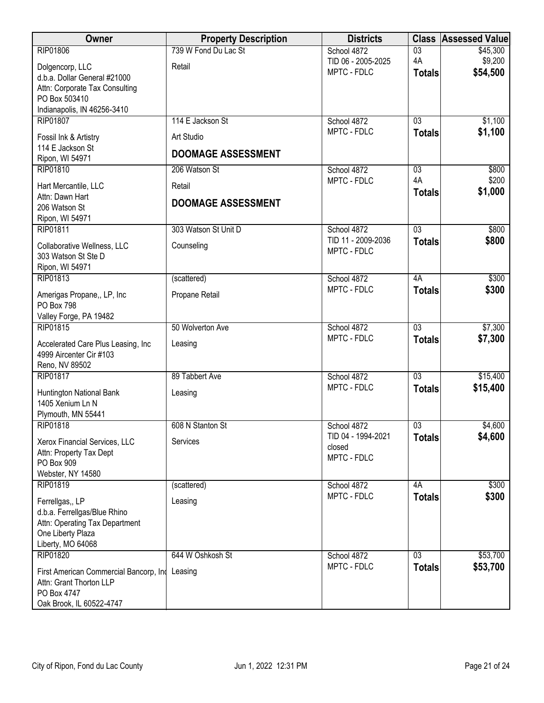| Owner                                                                     | <b>Property Description</b> | <b>Districts</b>           | <b>Class</b>                     | <b>Assessed Value</b> |
|---------------------------------------------------------------------------|-----------------------------|----------------------------|----------------------------------|-----------------------|
| <b>RIP01806</b>                                                           | 739 W Fond Du Lac St        | School 4872                | $\overline{03}$                  | \$45,300              |
| Dolgencorp, LLC                                                           | Retail                      | TID 06 - 2005-2025         | 4A                               | \$9,200               |
| d.b.a. Dollar General #21000                                              |                             | MPTC - FDLC                | <b>Totals</b>                    | \$54,500              |
| Attn: Corporate Tax Consulting                                            |                             |                            |                                  |                       |
| PO Box 503410                                                             |                             |                            |                                  |                       |
| Indianapolis, IN 46256-3410<br><b>RIP01807</b>                            | 114 E Jackson St            | School 4872                | 03                               | \$1,100               |
|                                                                           |                             | MPTC - FDLC                | <b>Totals</b>                    | \$1,100               |
| Fossil Ink & Artistry                                                     | Art Studio                  |                            |                                  |                       |
| 114 E Jackson St<br>Ripon, WI 54971                                       | <b>DOOMAGE ASSESSMENT</b>   |                            |                                  |                       |
| RIP01810                                                                  | 206 Watson St               | School 4872                | 03                               | \$800                 |
|                                                                           |                             | MPTC - FDLC                | 4A                               | \$200                 |
| Hart Mercantile, LLC<br>Attn: Dawn Hart                                   | Retail                      |                            | <b>Totals</b>                    | \$1,000               |
| 206 Watson St                                                             | <b>DOOMAGE ASSESSMENT</b>   |                            |                                  |                       |
| Ripon, WI 54971                                                           |                             |                            |                                  |                       |
| RIP01811                                                                  | 303 Watson St Unit D        | School 4872                | $\overline{03}$                  | \$800                 |
| Collaborative Wellness, LLC                                               | Counseling                  | TID 11 - 2009-2036         | <b>Totals</b>                    | \$800                 |
| 303 Watson St Ste D                                                       |                             | MPTC - FDLC                |                                  |                       |
| Ripon, WI 54971                                                           |                             |                            |                                  |                       |
| RIP01813                                                                  | (scattered)                 | School 4872                | 4A                               | \$300                 |
| Amerigas Propane,, LP, Inc                                                | Propane Retail              | MPTC - FDLC                | <b>Totals</b>                    | \$300                 |
| PO Box 798                                                                |                             |                            |                                  |                       |
| Valley Forge, PA 19482                                                    |                             |                            |                                  |                       |
| RIP01815                                                                  | 50 Wolverton Ave            | School 4872<br>MPTC - FDLC | $\overline{03}$<br><b>Totals</b> | \$7,300<br>\$7,300    |
| Accelerated Care Plus Leasing, Inc                                        | Leasing                     |                            |                                  |                       |
| 4999 Aircenter Cir #103                                                   |                             |                            |                                  |                       |
| Reno, NV 89502<br>RIP01817                                                | 89 Tabbert Ave              | School 4872                | 03                               | \$15,400              |
|                                                                           |                             | MPTC - FDLC                | <b>Totals</b>                    | \$15,400              |
| Huntington National Bank<br>1405 Xenium Ln N                              | Leasing                     |                            |                                  |                       |
| Plymouth, MN 55441                                                        |                             |                            |                                  |                       |
| RIP01818                                                                  | 608 N Stanton St            | School 4872                | $\overline{03}$                  | \$4,600               |
| Xerox Financial Services, LLC                                             | Services                    | TID 04 - 1994-2021         | <b>Totals</b>                    | \$4,600               |
| Attn: Property Tax Dept                                                   |                             | closed                     |                                  |                       |
| PO Box 909                                                                |                             | MPTC - FDLC                |                                  |                       |
| Webster, NY 14580                                                         |                             |                            |                                  |                       |
| RIP01819                                                                  | (scattered)                 | School 4872                | 4A                               | \$300                 |
| Ferrellgas,, LP                                                           | Leasing                     | MPTC - FDLC                | <b>Totals</b>                    | \$300                 |
| d.b.a. Ferrellgas/Blue Rhino                                              |                             |                            |                                  |                       |
| Attn: Operating Tax Department                                            |                             |                            |                                  |                       |
| One Liberty Plaza<br>Liberty, MO 64068                                    |                             |                            |                                  |                       |
| <b>RIP01820</b>                                                           | 644 W Oshkosh St            | School 4872                | $\overline{03}$                  | \$53,700              |
|                                                                           |                             | MPTC - FDLC                | <b>Totals</b>                    | \$53,700              |
| First American Commercial Bancorp, Ind Leasing<br>Attn: Grant Thorton LLP |                             |                            |                                  |                       |
| PO Box 4747                                                               |                             |                            |                                  |                       |
| Oak Brook, IL 60522-4747                                                  |                             |                            |                                  |                       |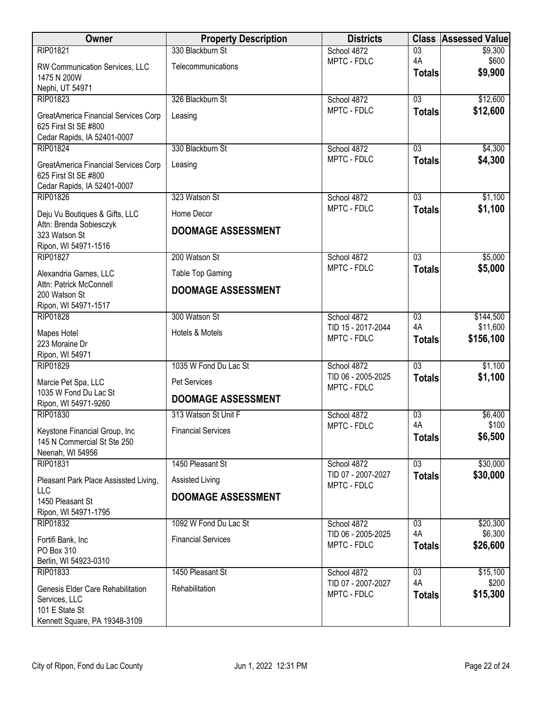| Owner                                                                                                 | <b>Property Description</b> | <b>Districts</b>                  |                     | <b>Class Assessed Value</b> |
|-------------------------------------------------------------------------------------------------------|-----------------------------|-----------------------------------|---------------------|-----------------------------|
| RIP01821                                                                                              | 330 Blackburn St            | School 4872                       | $\overline{03}$     | \$9,300                     |
| RW Communication Services, LLC<br>1475 N 200W                                                         | Telecommunications          | MPTC - FDLC                       | 4A<br><b>Totals</b> | \$600<br>\$9,900            |
| Nephi, UT 54971<br>RIP01823                                                                           | 326 Blackburn St            | School 4872                       | $\overline{03}$     | \$12,600                    |
| GreatAmerica Financial Services Corp<br>625 First St SE #800<br>Cedar Rapids, IA 52401-0007           | Leasing                     | MPTC - FDLC                       | <b>Totals</b>       | \$12,600                    |
| RIP01824                                                                                              | 330 Blackburn St            | School 4872                       | 03                  | \$4,300                     |
| GreatAmerica Financial Services Corp<br>625 First St SE #800<br>Cedar Rapids, IA 52401-0007           | Leasing                     | MPTC - FDLC                       | <b>Totals</b>       | \$4,300                     |
| <b>RIP01826</b>                                                                                       | 323 Watson St               | School 4872                       | $\overline{03}$     | \$1,100                     |
| Deju Vu Boutiques & Gifts, LLC                                                                        | Home Decor                  | MPTC - FDLC                       | <b>Totals</b>       | \$1,100                     |
| Attn: Brenda Sobiesczyk<br>323 Watson St<br>Ripon, WI 54971-1516                                      | <b>DOOMAGE ASSESSMENT</b>   |                                   |                     |                             |
| <b>RIP01827</b>                                                                                       | 200 Watson St               | School 4872                       | $\overline{03}$     | \$5,000                     |
| Alexandria Games, LLC                                                                                 | Table Top Gaming            | MPTC - FDLC                       | <b>Totals</b>       | \$5,000                     |
| Attn: Patrick McConnell<br>200 Watson St<br>Ripon, WI 54971-1517                                      | <b>DOOMAGE ASSESSMENT</b>   |                                   |                     |                             |
| <b>RIP01828</b>                                                                                       | 300 Watson St               | School 4872                       | $\overline{03}$     | \$144,500                   |
| Mapes Hotel<br>223 Moraine Dr<br>Ripon, WI 54971                                                      | Hotels & Motels             | TID 15 - 2017-2044<br>MPTC - FDLC | 4A<br><b>Totals</b> | \$11,600<br>\$156,100       |
| <b>RIP01829</b>                                                                                       | 1035 W Fond Du Lac St       | School 4872                       | $\overline{03}$     | \$1,100                     |
| Marcie Pet Spa, LLC                                                                                   | Pet Services                | TID 06 - 2005-2025<br>MPTC - FDLC | <b>Totals</b>       | \$1,100                     |
| 1035 W Fond Du Lac St<br>Ripon, WI 54971-9260                                                         | <b>DOOMAGE ASSESSMENT</b>   |                                   |                     |                             |
| RIP01830                                                                                              | 313 Watson St Unit F        | School 4872                       | $\overline{03}$     | \$6,400                     |
| Keystone Financial Group, Inc<br>145 N Commercial St Ste 250<br>Neenah, WI 54956                      | <b>Financial Services</b>   | MPTC - FDLC                       | 4A<br><b>Totals</b> | \$100<br>\$6,500            |
| RIP01831                                                                                              | 1450 Pleasant St            | School 4872                       | $\overline{03}$     | \$30,000                    |
| Pleasant Park Place Assissted Living,                                                                 | Assisted Living             | TID 07 - 2007-2027<br>MPTC - FDLC | <b>Totals</b>       | \$30,000                    |
| LLC<br>1450 Pleasant St                                                                               | <b>DOOMAGE ASSESSMENT</b>   |                                   |                     |                             |
| Ripon, WI 54971-1795                                                                                  |                             |                                   |                     |                             |
| RIP01832                                                                                              | 1092 W Fond Du Lac St       | School 4872                       | 03                  | \$20,300                    |
| Fortifi Bank, Inc<br>PO Box 310<br>Berlin, WI 54923-0310                                              | <b>Financial Services</b>   | TID 06 - 2005-2025<br>MPTC - FDLC | 4A<br><b>Totals</b> | \$6,300<br>\$26,600         |
| RIP01833                                                                                              | 1450 Pleasant St            | School 4872                       | $\overline{03}$     | \$15,100                    |
| Genesis Elder Care Rehabilitation<br>Services, LLC<br>101 E State St<br>Kennett Square, PA 19348-3109 | Rehabilitation              | TID 07 - 2007-2027<br>MPTC - FDLC | 4A<br><b>Totals</b> | \$200<br>\$15,300           |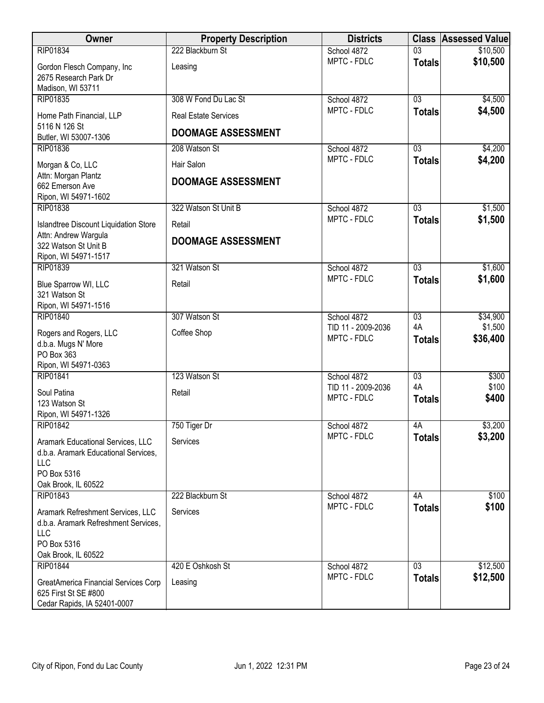| Owner                                                        | <b>Property Description</b> | <b>Districts</b>                  |                 | <b>Class Assessed Value</b> |
|--------------------------------------------------------------|-----------------------------|-----------------------------------|-----------------|-----------------------------|
| RIP01834                                                     | 222 Blackburn St            | School 4872                       | $\overline{03}$ | \$10,500                    |
| Gordon Flesch Company, Inc                                   | Leasing                     | MPTC - FDLC                       | <b>Totals</b>   | \$10,500                    |
| 2675 Research Park Dr                                        |                             |                                   |                 |                             |
| Madison, WI 53711                                            |                             |                                   |                 |                             |
| RIP01835                                                     | 308 W Fond Du Lac St        | School 4872<br>MPTC - FDLC        | $\overline{03}$ | \$4,500<br>\$4,500          |
| Home Path Financial, LLP                                     | <b>Real Estate Services</b> |                                   | <b>Totals</b>   |                             |
| 5116 N 126 St<br>Butler, WI 53007-1306                       | <b>DOOMAGE ASSESSMENT</b>   |                                   |                 |                             |
| RIP01836                                                     | 208 Watson St               | School 4872                       | 03              | \$4,200                     |
| Morgan & Co, LLC                                             | Hair Salon                  | MPTC - FDLC                       | <b>Totals</b>   | \$4,200                     |
| Attn: Morgan Plantz                                          |                             |                                   |                 |                             |
| 662 Emerson Ave                                              | <b>DOOMAGE ASSESSMENT</b>   |                                   |                 |                             |
| Ripon, WI 54971-1602                                         |                             |                                   |                 |                             |
| <b>RIP01838</b>                                              | 322 Watson St Unit B        | School 4872                       | $\overline{03}$ | \$1,500                     |
| <b>Islandtree Discount Liquidation Store</b>                 | Retail                      | MPTC - FDLC                       | <b>Totals</b>   | \$1,500                     |
| Attn: Andrew Wargula<br>322 Watson St Unit B                 | <b>DOOMAGE ASSESSMENT</b>   |                                   |                 |                             |
| Ripon, WI 54971-1517                                         |                             |                                   |                 |                             |
| RIP01839                                                     | 321 Watson St               | School 4872                       | $\overline{03}$ | \$1,600                     |
| Blue Sparrow WI, LLC                                         | Retail                      | MPTC - FDLC                       | <b>Totals</b>   | \$1,600                     |
| 321 Watson St                                                |                             |                                   |                 |                             |
| Ripon, WI 54971-1516                                         |                             |                                   |                 |                             |
| <b>RIP01840</b>                                              | 307 Watson St               | School 4872                       | $\overline{03}$ | \$34,900                    |
| Rogers and Rogers, LLC                                       | Coffee Shop                 | TID 11 - 2009-2036<br>MPTC - FDLC | 4A              | \$1,500<br>\$36,400         |
| d.b.a. Mugs N' More                                          |                             |                                   | <b>Totals</b>   |                             |
| PO Box 363<br>Ripon, WI 54971-0363                           |                             |                                   |                 |                             |
| RIP01841                                                     | 123 Watson St               | School 4872                       | 03              | \$300                       |
| Soul Patina                                                  | Retail                      | TID 11 - 2009-2036                | 4A              | \$100                       |
| 123 Watson St                                                |                             | MPTC - FDLC                       | <b>Totals</b>   | \$400                       |
| Ripon, WI 54971-1326                                         |                             |                                   |                 |                             |
| RIP01842                                                     | 750 Tiger Dr                | School 4872                       | 4A              | \$3,200                     |
| Aramark Educational Services, LLC                            | Services                    | MPTC - FDLC                       | <b>Totals</b>   | \$3,200                     |
| d.b.a. Aramark Educational Services,                         |                             |                                   |                 |                             |
| LLC<br>PO Box 5316                                           |                             |                                   |                 |                             |
| Oak Brook, IL 60522                                          |                             |                                   |                 |                             |
| RIP01843                                                     | 222 Blackburn St            | School 4872                       | 4A              | \$100                       |
| Aramark Refreshment Services, LLC                            | Services                    | MPTC - FDLC                       | <b>Totals</b>   | \$100                       |
| d.b.a. Aramark Refreshment Services,                         |                             |                                   |                 |                             |
| LLC                                                          |                             |                                   |                 |                             |
| PO Box 5316                                                  |                             |                                   |                 |                             |
| Oak Brook, IL 60522<br>RIP01844                              | 420 E Oshkosh St            | School 4872                       | 03              | \$12,500                    |
|                                                              |                             | MPTC - FDLC                       | <b>Totals</b>   | \$12,500                    |
| GreatAmerica Financial Services Corp<br>625 First St SE #800 | Leasing                     |                                   |                 |                             |
| Cedar Rapids, IA 52401-0007                                  |                             |                                   |                 |                             |